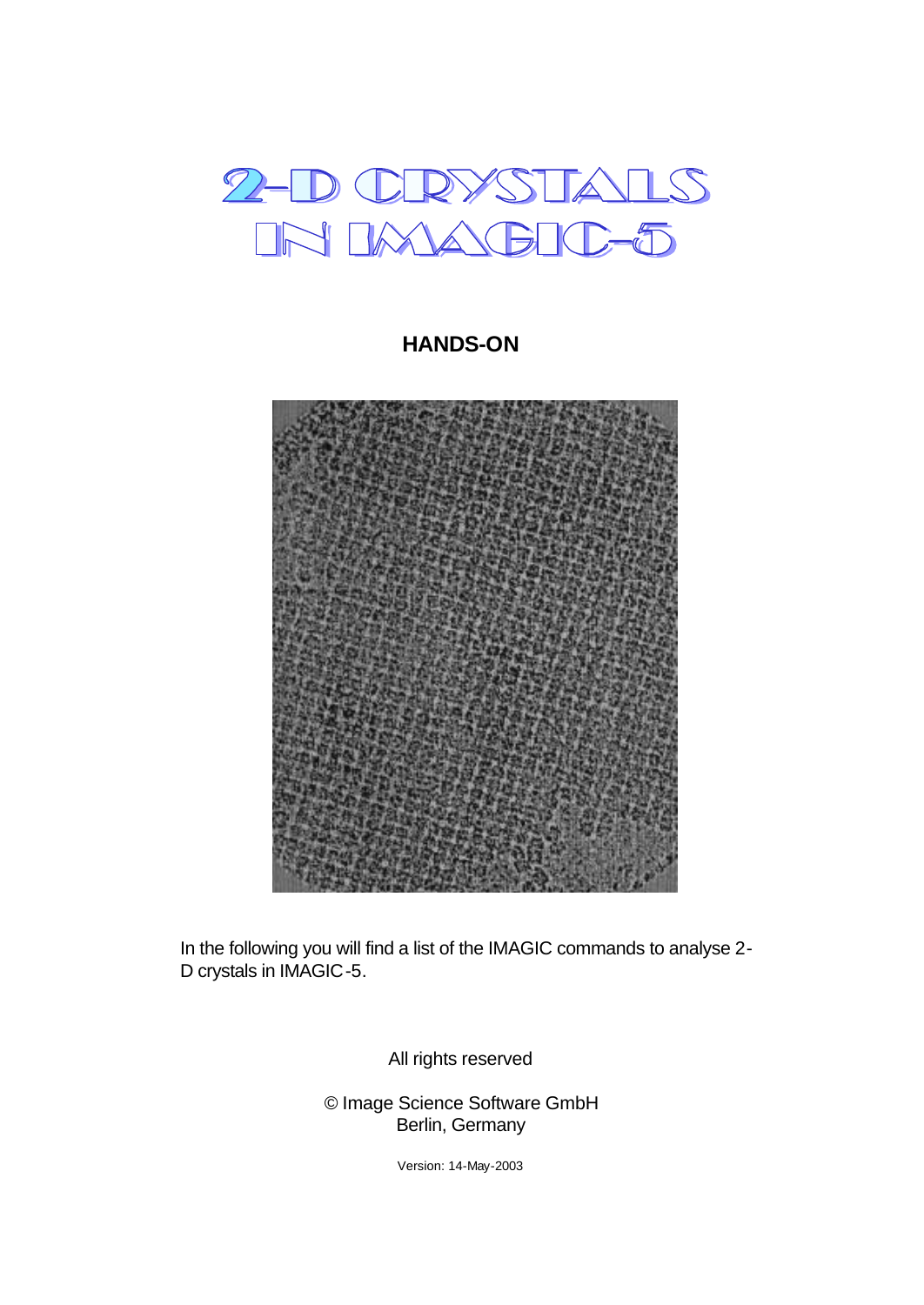

**HANDS-ON**



In the following you will find a list of the IMAGIC commands to analyse 2- D crystals in IMAGIC-5.

All rights reserved

© Image Science Software GmbH Berlin, Germany

Version: 14-May-2003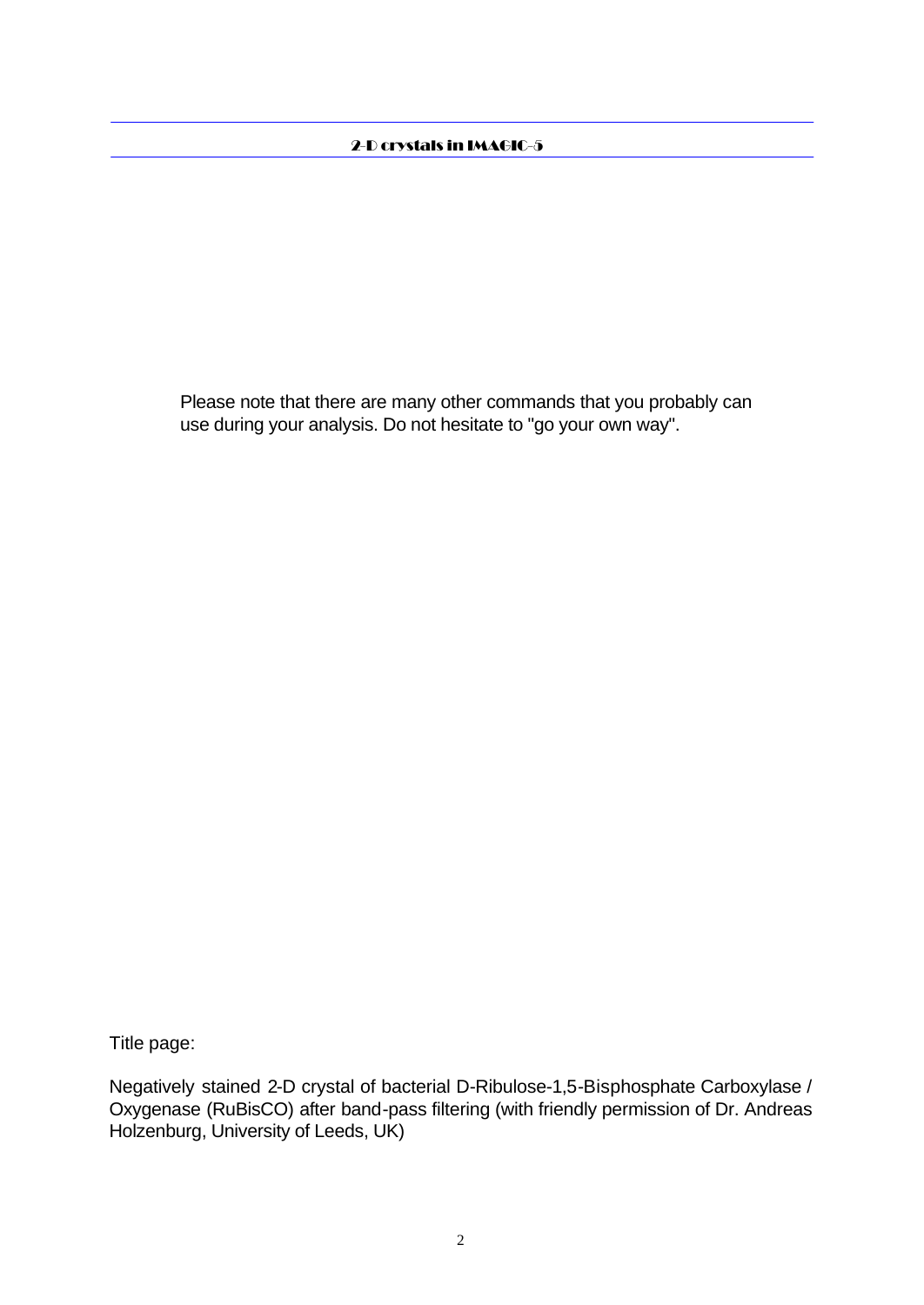Please note that there are many other commands that you probably can use during your analysis. Do not hesitate to "go your own way".

Title page:

Negatively stained 2-D crystal of bacterial D-Ribulose-1,5-Bisphosphate Carboxylase / Oxygenase (RuBisCO) after band-pass filtering (with friendly permission of Dr. Andreas Holzenburg, University of Leeds, UK)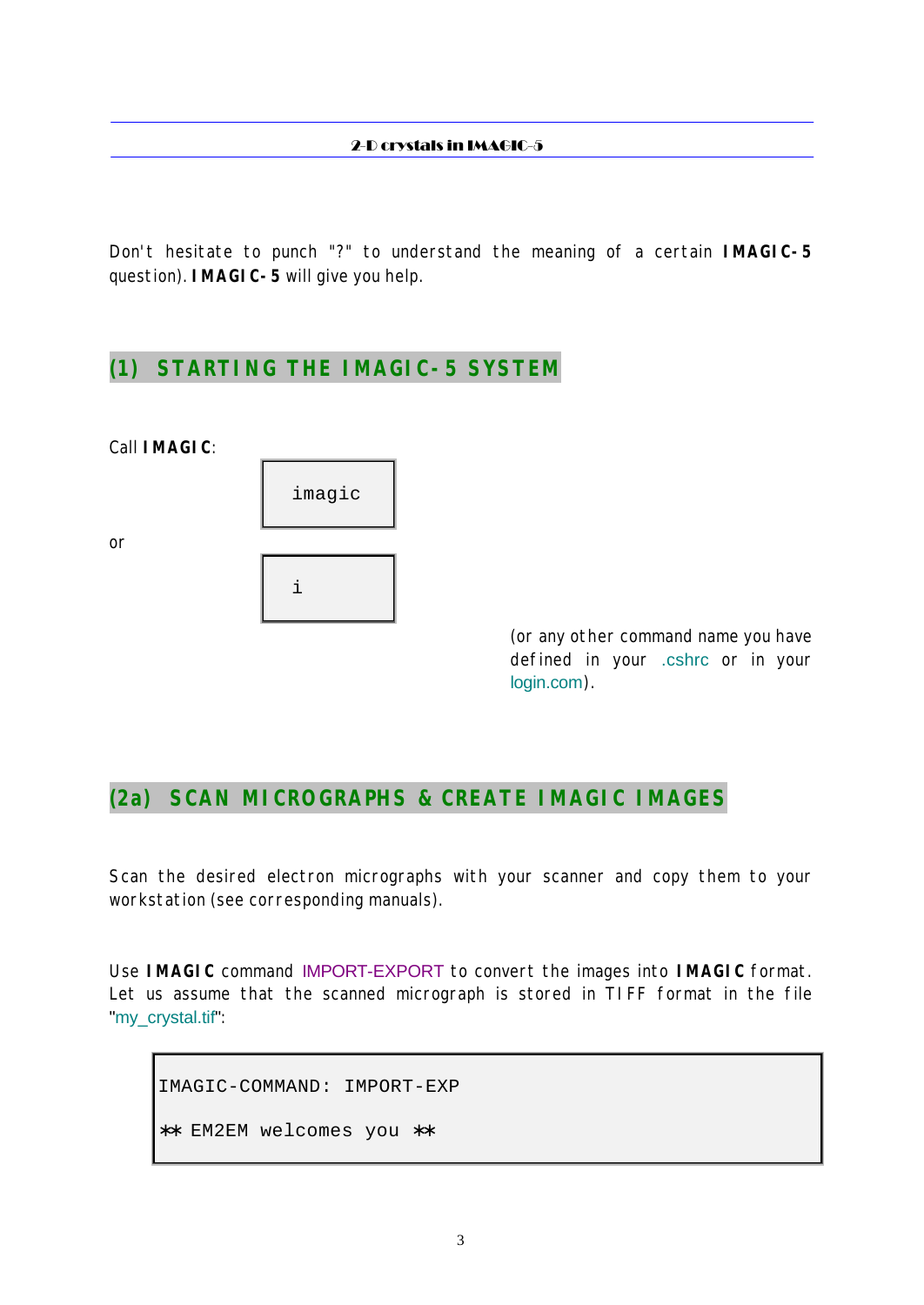Don't hesitate to punch "?" to understand the meaning of a certain **IMAGIC-5** question). **IMAGIC-5** will give you help.

### **(1) STARTING THE IMAGIC-5 SYSTEM**

Call **IMAGIC**:

or



(or any other command name you have defined in your .cshrc or in your login.com).

# **(2a) SCAN MICROGRAPHS & CREATE IMAGIC IMAGES**

Scan the desired electron micrographs with your scanner and copy them to your workstation (see corresponding manuals).

Use **IMAGIC** command IMPORT-EXPORT to convert the images into **IMAGIC** format. Let us assume that the scanned micrograph is stored in TIFF format in the file "my\_crystal.tif":

IMAGIC-COMMAND: IMPORT-EXP ∗∗ EM2EM welcomes you ∗∗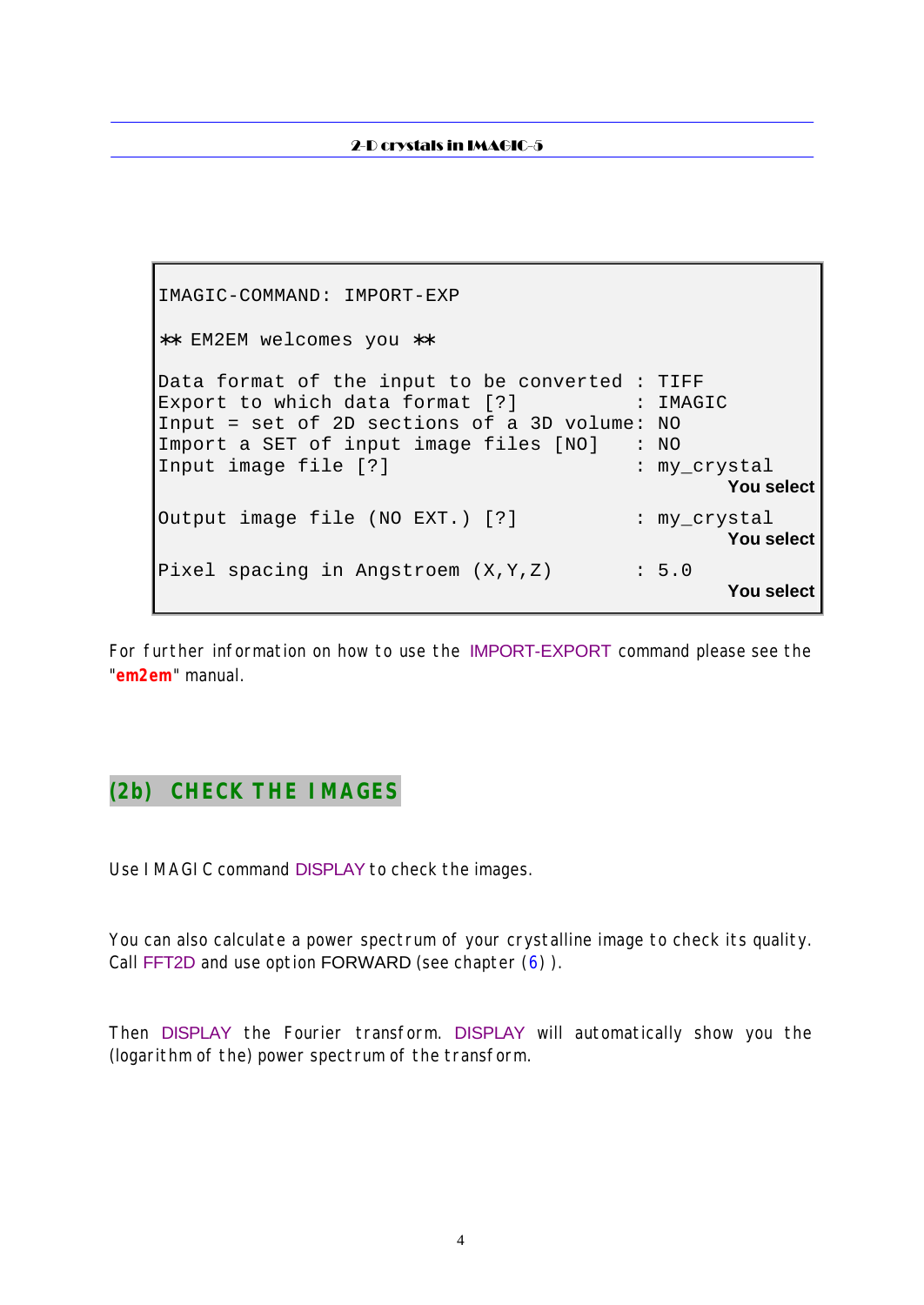```
IMAGIC-COMMAND: IMPORT-EXP
∗∗ EM2EM welcomes you ∗∗
Data format of the input to be converted : TIFF
Export to which data format [?] : IMAGIC
Input = set of 2D sections of a 3D volume: NO
Import a SET of input image files [NO] : NO
Input image file [?] \qquad \qquad : \text{my\_crystal} You select
Output image file (NO EXT.) [?] : my_crystal
                                                 You select
Pixel spacing in Angstroem (X, Y, Z) : 5.0
                                                 You select
```
For further information on how to use the IMPORT-EXPORT command please see the "**em2em**" manual.

# **(2b) CHECK THE IMAGES**

Use IMAGIC command DISPLAY to check the images.

You can also calculate a power spectrum of your crystalline image to check its quality. Call FFT2D and use option FORWARD (see chapter (6)).

Then DISPLAY the Fourier transform. DISPLAY will automatically show you the (logarithm of the) power spectrum of the transform.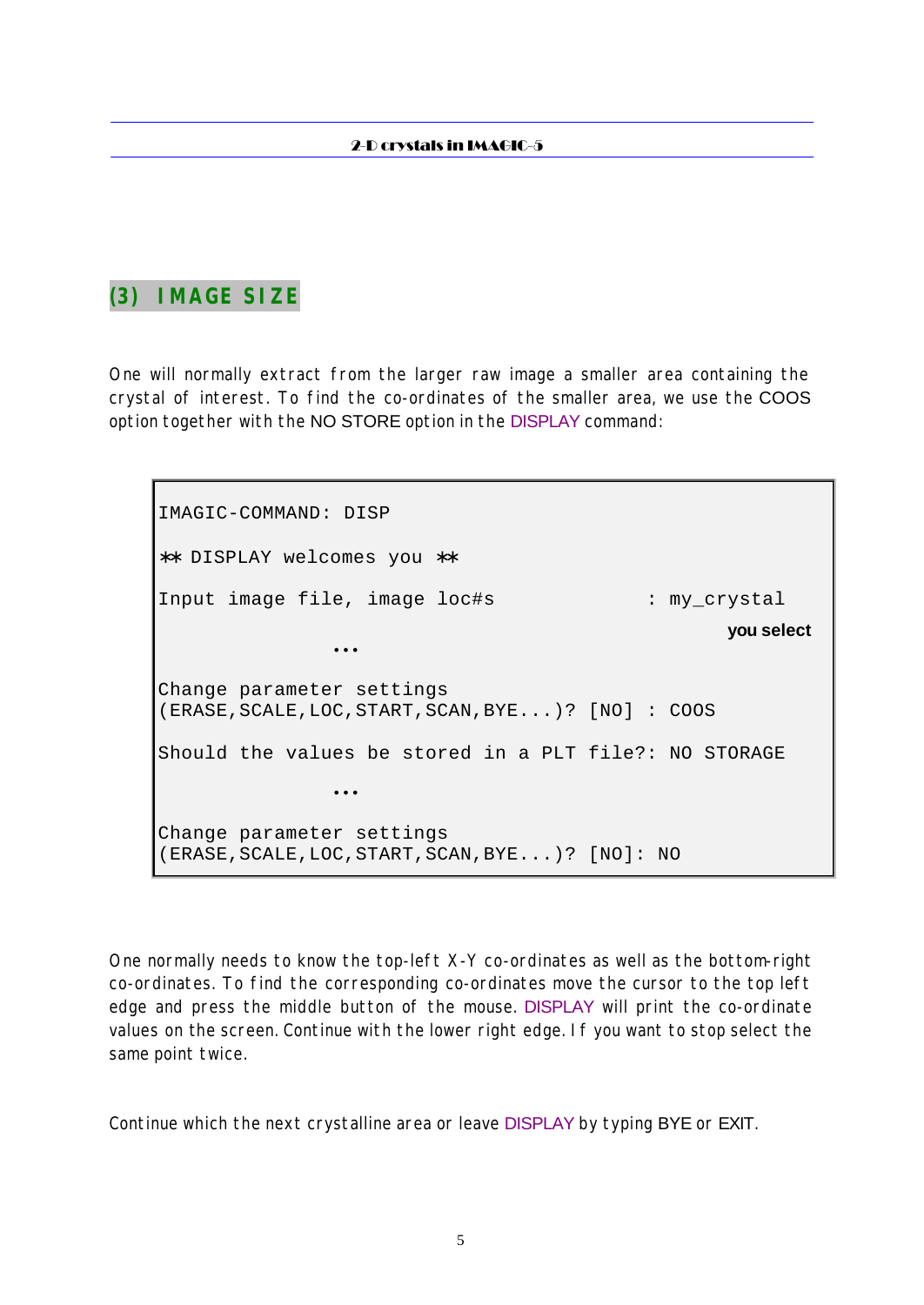# **(3) IMAGE SIZE**

One will normally extract from the larger raw image a smaller area containing the crystal of interest. To find the co-ordinates of the smaller area, we use the COOS option together with the NO STORE option in the DISPLAY command:

IMAGIC-COMMAND: DISP ∗∗ DISPLAY welcomes you ∗∗ Input image file, image loc#s : my\_crystal **you select** • • • Change parameter settings (ERASE,SCALE,LOC,START,SCAN,BYE...)? [NO] : COOS Should the values be stored in a PLT file?: NO STORAGE • • • Change parameter settings (ERASE,SCALE,LOC,START,SCAN,BYE...)? [NO]: NO

One normally needs to know the top-left X-Y co-ordinates as well as the bottom-right co-ordinates. To find the corresponding co-ordinates move the cursor to the top left edge and press the middle button of the mouse. DISPLAY will print the co-ordinate values on the screen. Continue with the lower right edge. If you want to stop select the same point twice.

Continue which the next crystalline area or leave DISPLAY by typing BYE or EXIT.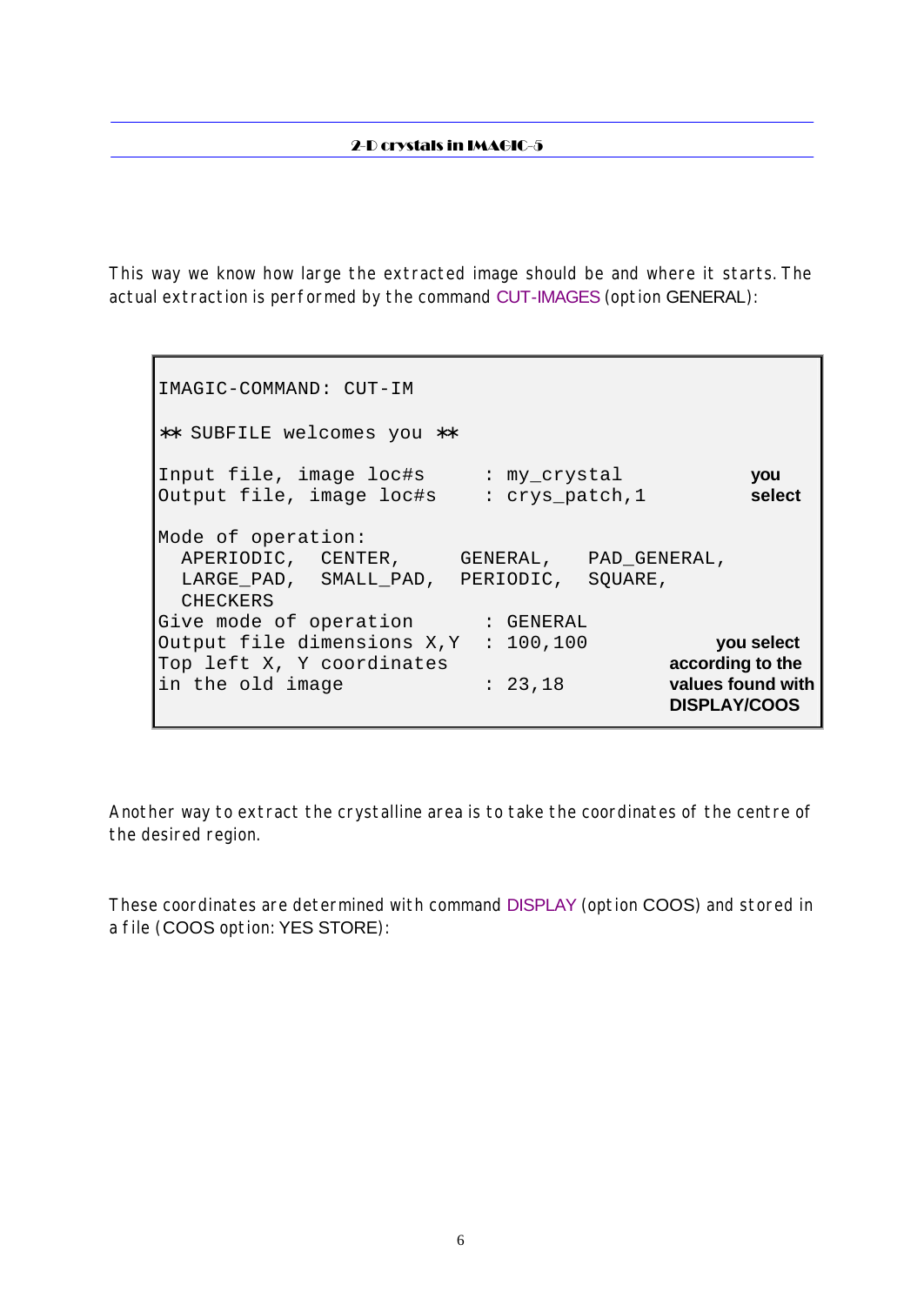This way we know how large the extracted image should be and where it starts. The actual extraction is performed by the command CUT-IMAGES (option GENERAL):

IMAGIC-COMMAND: CUT-IM ∗∗ SUBFILE welcomes you ∗∗ Input file, image loc#s : my\_crystal **you** Output file, image loc#s : crys\_patch,1 **select** Mode of operation: APERIODIC, CENTER, GENERAL, PAD\_GENERAL, LARGE\_PAD, SMALL\_PAD, PERIODIC, SQUARE, CHECKERS Give mode of operation : GENERAL Output file dimensions X,Y : 100,100 **you select** Top left X, Y coordinates **according to the** in the old image : 23,18 **values found with DISPLAY/COOS**

Another way to extract the crystalline area is to take the coordinates of the centre of the desired region.

These coordinates are determined with command DISPLAY (option COOS) and stored in a file (COOS option: YES STORE):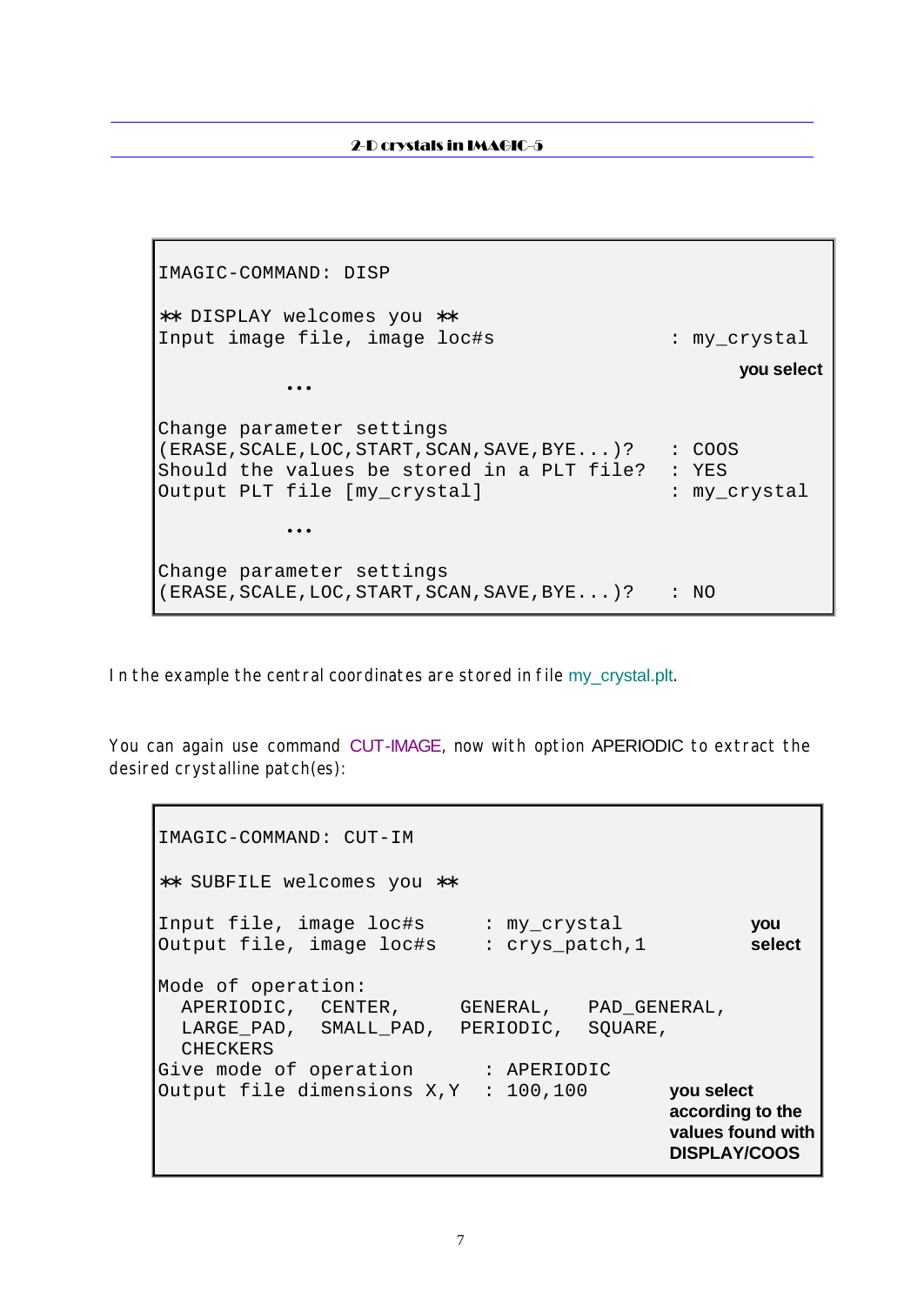IMAGIC-COMMAND: DISP ∗∗ DISPLAY welcomes you ∗∗ Input image file, image loc#s : my\_crystal **you select**  $\bullet \bullet \bullet$ Change parameter settings (ERASE, SCALE, LOC, START, SCAN, SAVE, BYE...)? : COOS Should the values be stored in a PLT file? : YES Output PLT file [my\_crystal] : my\_crystal  $\bullet \bullet \bullet$ Change parameter settings (ERASE, SCALE, LOC, START, SCAN, SAVE, BYE...)? : NO

In the example the central coordinates are stored in file my\_crystal.plt.

You can again use command CUT-IMAGE, now with option APERIODIC to extract the desired crystalline patch(es):

```
IMAGIC-COMMAND: CUT-IM
∗∗ SUBFILE welcomes you ∗∗
Input file, image loc#s : my_crystal you
Output file, image loc#s : crys_patch,1 select
Mode of operation:
  APERIODIC, CENTER, GENERAL, PAD_GENERAL,
  LARGE_PAD, SMALL_PAD, PERIODIC, SQUARE,
  CHECKERS
Give mode of operation : APERIODIC
Output file dimensions X,Y : 100,100 you select
                                          according to the
                                         values found with
                                         DISPLAY/COOS
```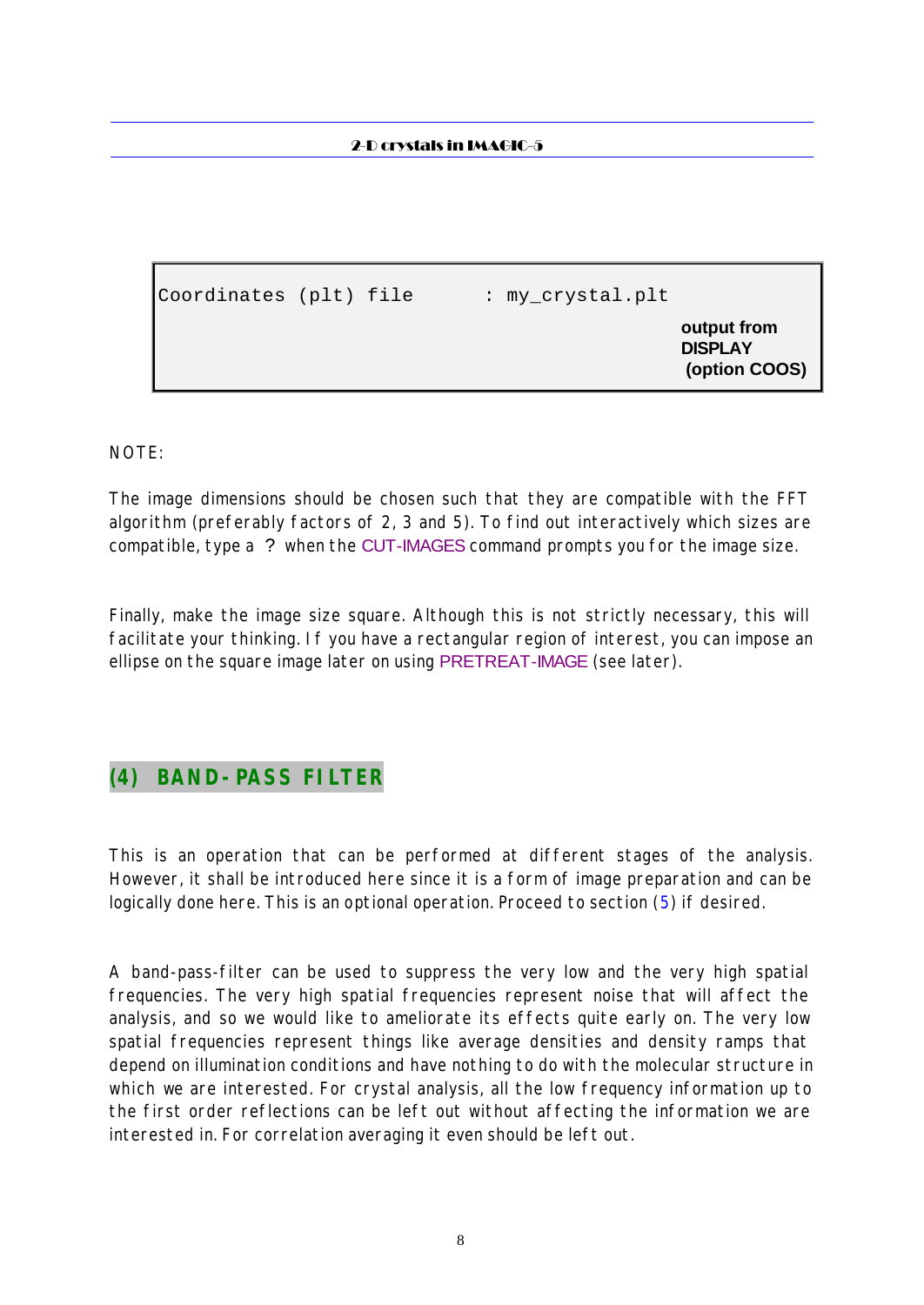Coordinates (plt) file : my\_crystal.plt **output from DISPLAY (option COOS)**

NOTE:

The image dimensions should be chosen such that they are compatible with the FFT algorithm (preferably factors of 2, 3 and 5). To find out interactively which sizes are compatible, type a ? when the CUT-IMAGES command prompts you for the image size.

Finally, make the image size square. Although this is not strictly necessary, this will facilitate your thinking. If you have a rectangular region of interest, you can impose an ellipse on the square image later on using PRETREAT-IMAGE (see later).

### **(4) BAND-PASS FILTER**

This is an operation that can be performed at different stages of the analysis. However, it shall be introduced here since it is a form of image preparation and can be logically done here. This is an optional operation. Proceed to section (5) if desired.

A band-pass-filter can be used to suppress the very low and the very high spatial frequencies. The very high spatial frequencies represent noise that will affect the analysis, and so we would like to ameliorate its effects quite early on. The very low spatial frequencies represent things like average densities and density ramps that depend on illumination conditions and have nothing to do with the molecular structure in which we are interested. For crystal analysis, all the low frequency information up to the first order reflections can be left out without affecting the information we are interested in. For correlation averaging it even should be left out.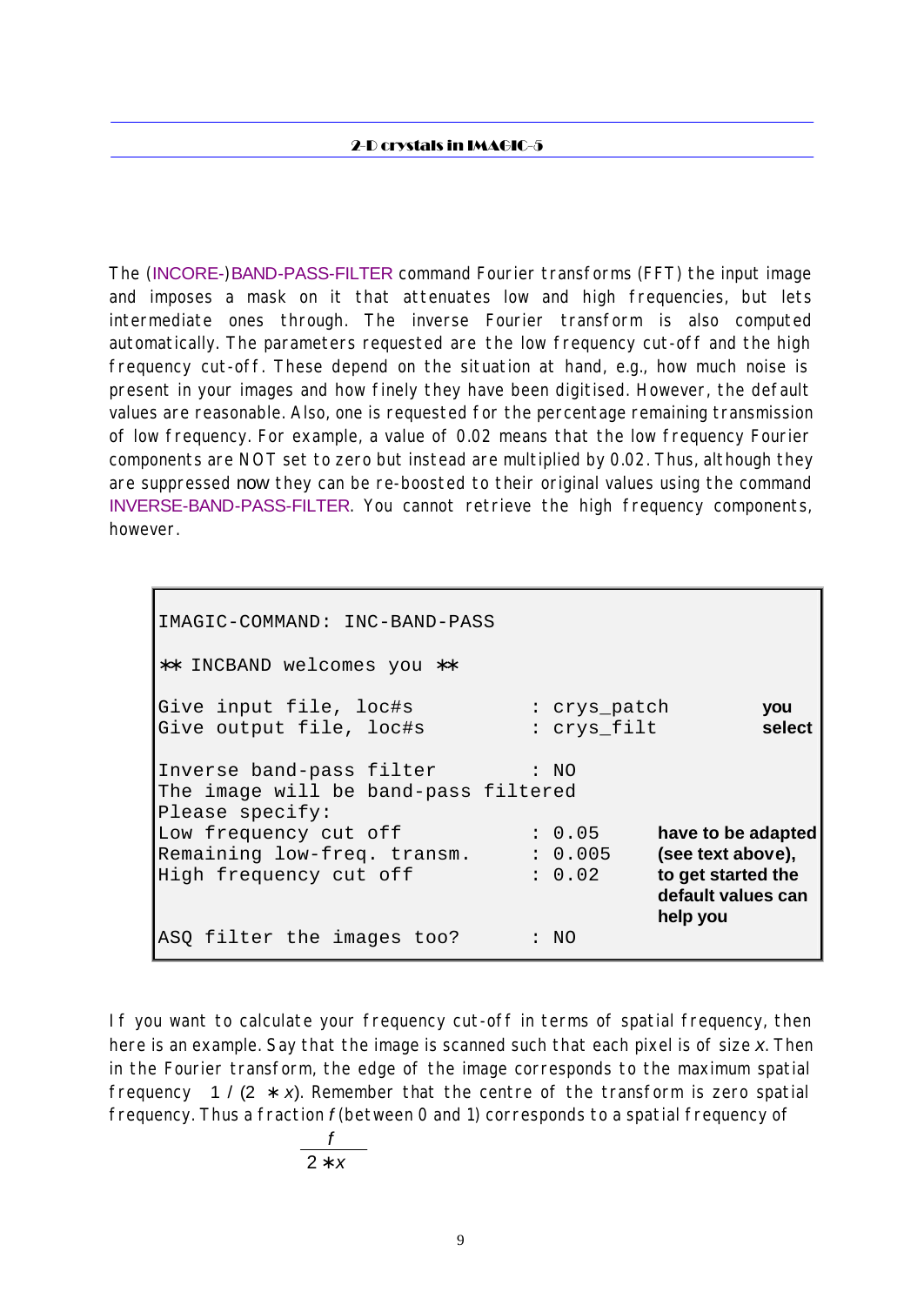The (INCORE-)BAND-PASS-FILTER command Fourier transforms (FFT) the input image and imposes a mask on it that attenuates low and high frequencies, but lets intermediate ones through. The inverse Fourier transform is also computed automatically. The parameters requested are the low frequency cut-off and the high frequency cut-off. These depend on the situation at hand, e.g., how much noise is present in your images and how finely they have been digitised. However, the default values are reasonable. Also, one is requested for the percentage remaining transmission of low frequency. For example, a value of 0.02 means that the low frequency Fourier components are NOT set to zero but instead are multiplied by 0.02. Thus, although they are suppressed now they can be re-boosted to their original values using the command INVERSE-BAND-PASS-FILTER. You cannot retrieve the high frequency components, however.

IMAGIC-COMMAND: INC-BAND-PASS ∗∗ INCBAND welcomes you ∗∗ Give input file, loc#s : crys patch **you** Give output file, loc#s : crys\_filt **select** Inverse band-pass filter : NO The image will be band-pass filtered Please specify: Low frequency cut off : 0.05 **have to be adapted** Remaining low-freq. transm.  $\therefore$  0.005 **(see text above),**<br>High frequency cut off  $\therefore$  0.02 **to get started the** High frequency cut off : 0.02 **default values can help you** ASQ filter the images too? : NO

If you want to calculate your frequency cut-off in terms of spatial frequency, then here is an example. Say that the image is scanned such that each pixel is of size *x*. Then in the Fourier transform, the edge of the image corresponds to the maximum spatial frequency 1 / (2 ∗ *x*). Remember that the centre of the transform is zero spatial frequency. Thus a fraction *f* (between 0 and 1) corresponds to a spatial frequency of

$$
\frac{f}{2 * x}
$$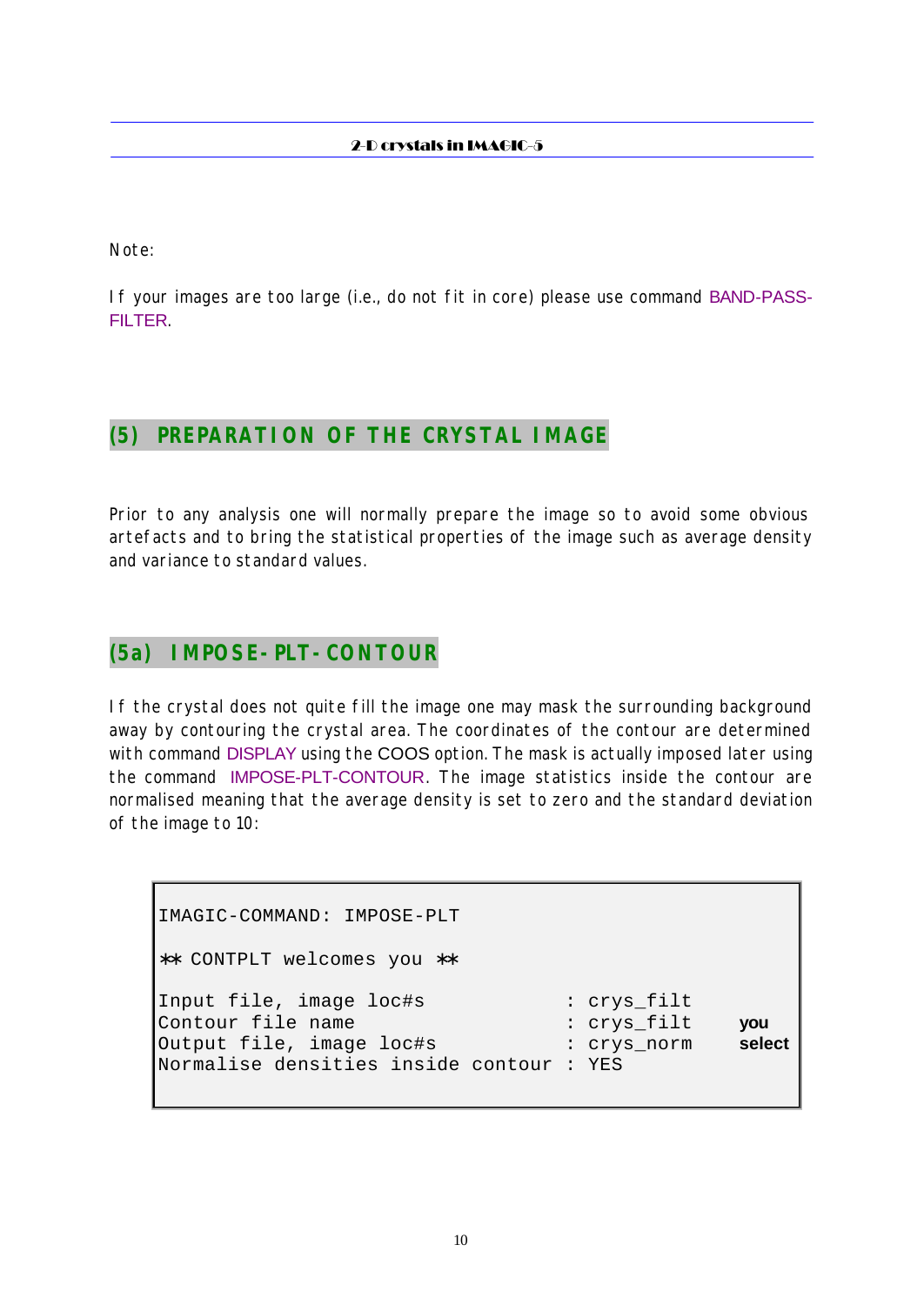Note:

If your images are too large (i.e., do not fit in core) please use command BAND-PASS-FILTER.

### **(5) PREPARATION OF THE CRYSTAL IMAGE**

Prior to any analysis one will normally prepare the image so to avoid some obvious artefacts and to bring the statistical properties of the image such as average density and variance to standard values.

### **(5a) IMPOSE-PLT-CONTOUR**

If the crystal does not quite fill the image one may mask the surrounding background away by contouring the crystal area. The coordinates of the contour are determined with command DISPLAY using the COOS option. The mask is actually imposed later using the command IMPOSE-PLT-CONTOUR. The image statistics inside the contour are normalised meaning that the average density is set to zero and the standard deviation of the image to 10:

```
IMAGIC-COMMAND: IMPOSE-PLT
∗∗ CONTPLT welcomes you ∗∗
Input file, image loc#s : crys_filt
Contour file name : crys_filt you
Output file, image loc#s : crys_norm select
Normalise densities inside contour : YES
```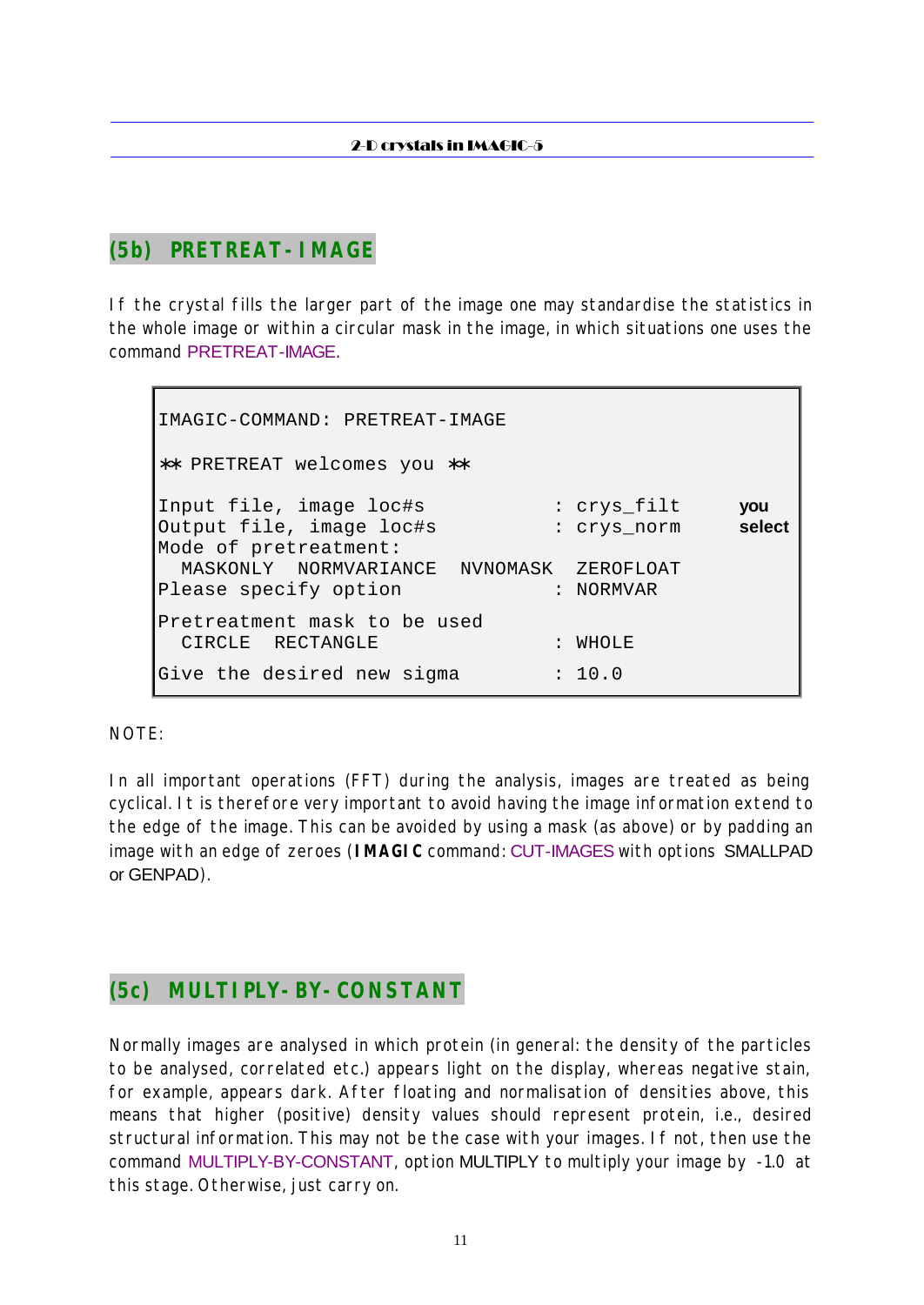# **(5b) PRETREAT-IMAGE**

If the crystal fills the larger part of the image one may standardise the statistics in the whole image or within a circular mask in the image, in which situations one uses the command PRETREAT-IMAGE.

```
IMAGIC-COMMAND: PRETREAT-IMAGE
∗∗ PRETREAT welcomes you ∗∗
Input file, image loc#s : crys_filt you
Output file, image loc#s : crys_norm select
Mode of pretreatment:
  MASKONLY NORMVARIANCE NVNOMASK ZEROFLOAT
Please specify option : NORMVAR
Pretreatment mask to be used
 CIRCLE RECTANGLE : WHOLE
Give the desired new sigma : 10.0
```
NOTE:

In all important operations (FFT) during the analysis, images are treated as being cyclical. It is therefore very important to avoid having the image information extend to the edge of the image. This can be avoided by using a mask (as above) or by padding an image with an edge of zeroes (**IMAGIC** command: CUT-IMAGES with options SMALLPAD or GENPAD).

# **(5c) MULTIPLY-BY-CONSTANT**

Normally images are analysed in which protein (in general: the density of the particles to be analysed, correlated etc.) appears light on the display, whereas negative stain, for example, appears dark. After floating and normalisation of densities above, this means that higher (positive) density values should represent protein, i.e., desired structural information. This may not be the case with your images. If not, then use the command MULTIPLY-BY-CONSTANT, option MULTIPLY to multiply your image by -1.0 at this stage. Otherwise, just carry on.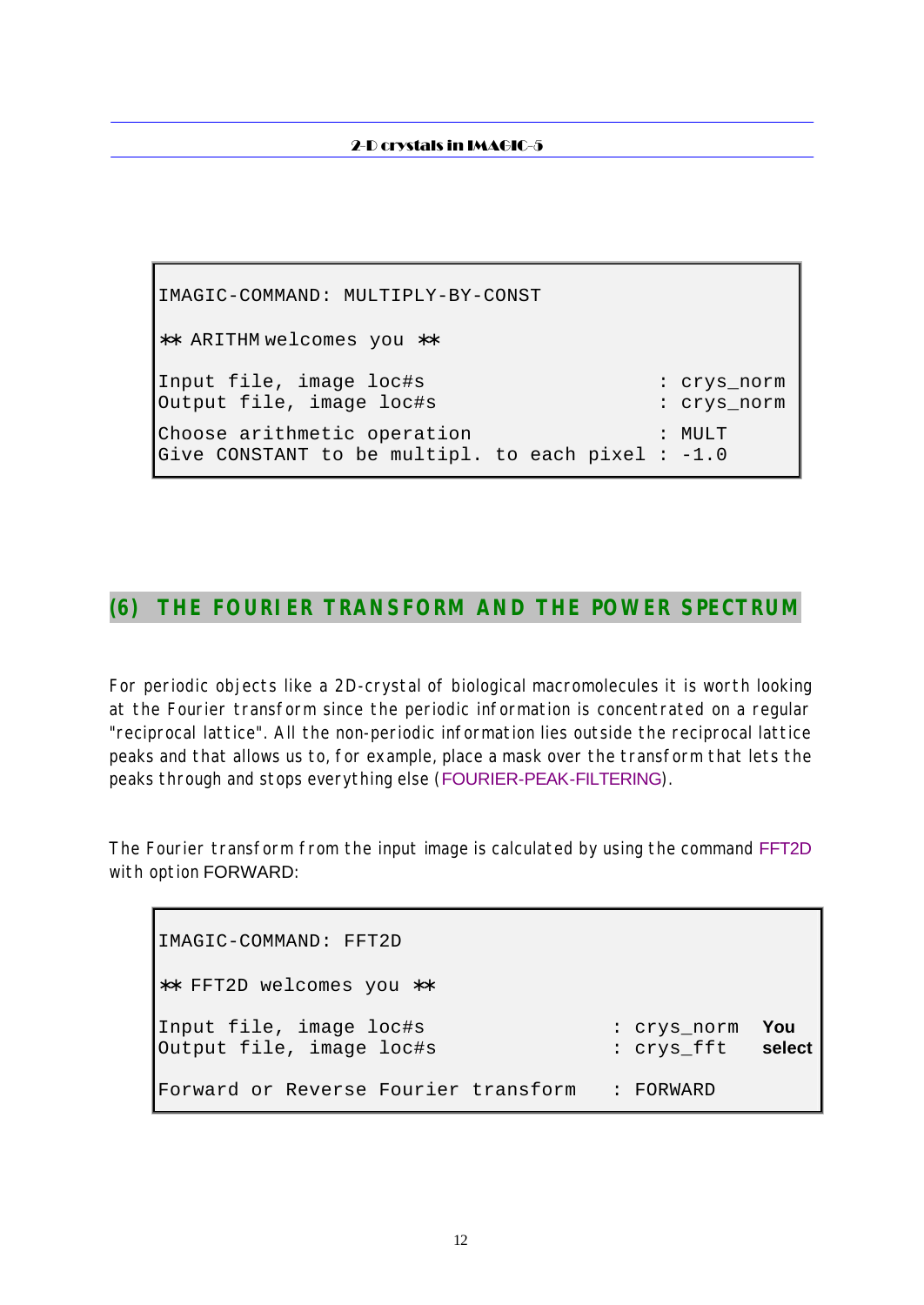IMAGIC-COMMAND: MULTIPLY-BY-CONST ∗∗ ARITHM welcomes you ∗∗ Input file, image loc#s : crys\_norm Output file, image loc#s : crys\_norm Choose arithmetic operation : MULT Give CONSTANT to be multipl. to each pixel : -1.0

### **(6) THE FOURIER TRANSFORM AND THE POWER SPECTRUM**

For periodic objects like a 2D-crystal of biological macromolecules it is worth looking at the Fourier transform since the periodic information is concentrated on a regular "reciprocal lattice". All the non-periodic information lies outside the reciprocal lattice peaks and that allows us to, for example, place a mask over the transform that lets the peaks through and stops everything else (FOURIER-PEAK-FILTERING).

The Fourier transform from the input image is calculated by using the command FFT2D with option FORWARD:

IMAGIC-COMMAND: FFT2D ∗∗ FFT2D welcomes you ∗∗ Input file, image loc#s : crys\_norm **You** Output file, image loc#s : crys\_fft **select** Forward or Reverse Fourier transform : FORWARD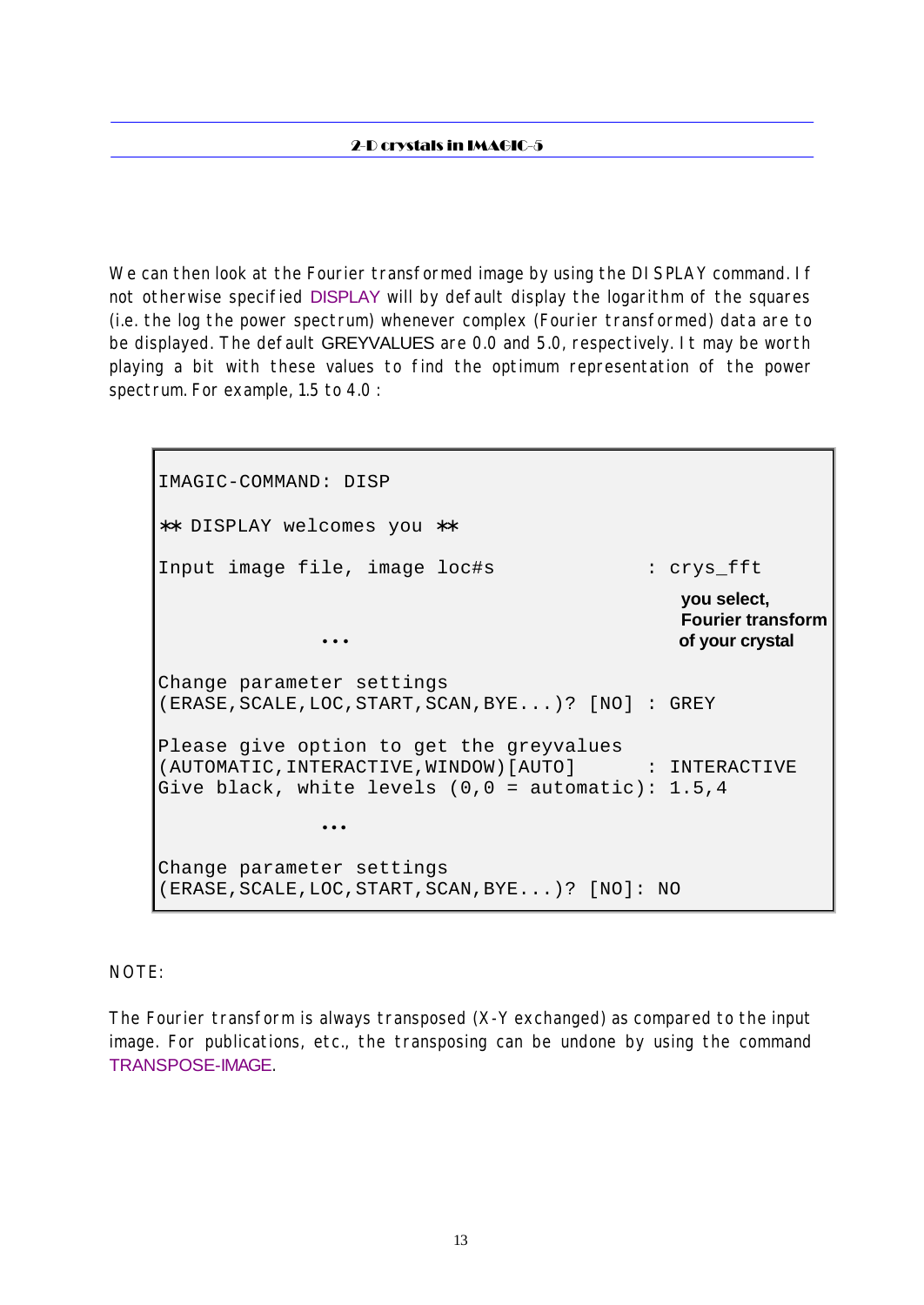We can then look at the Fourier transformed image by using the DI SPLAY command. If not otherwise specified DISPLAY will by default display the logarithm of the squares (i.e. the log the power spectrum) whenever complex (Fourier transformed) data are to be displayed. The default GREYVALUES are 0.0 and 5.0, respectively. It may be worth playing a bit with these values to find the optimum representation of the power spectrum. For example, 1.5 to 4.0 :

IMAGIC-COMMAND: DISP ∗∗ DISPLAY welcomes you ∗∗ Input image file, image loc#s : crys\_fft **you select, Fourier transform · · · of your crystal** Change parameter settings (ERASE,SCALE,LOC,START,SCAN,BYE...)? [NO] : GREY Please give option to get the greyvalues (AUTOMATIC,INTERACTIVE,WINDOW)[AUTO] : INTERACTIVE Give black, white levels  $(0, 0 =$  automatic): 1.5,4  $\bullet$  •  $\bullet$  •  $\bullet$  •  $\bullet$  •  $\bullet$  •  $\bullet$  •  $\bullet$ Change parameter settings (ERASE,SCALE,LOC,START,SCAN,BYE...)? [NO]: NO

#### NOTE:

The Fourier transform is always transposed (X-Y exchanged) as compared to the input image. For publications, etc., the transposing can be undone by using the command TRANSPOSE-IMAGE.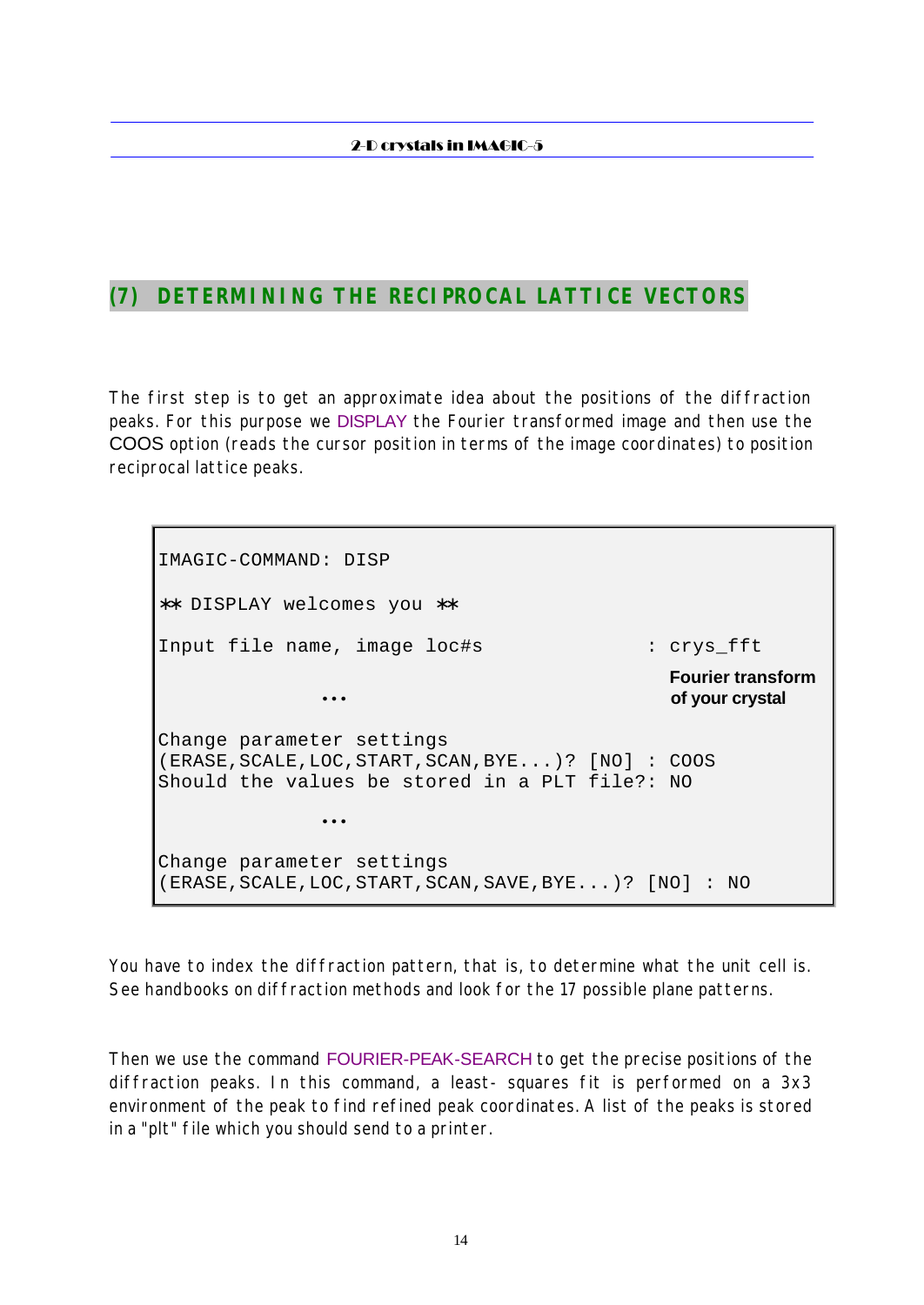### **(7) DETERMINING THE RECIPROCAL LATTICE VECTORS**

The first step is to get an approximate idea about the positions of the diffraction peaks. For this purpose we DISPLAY the Fourier transformed image and then use the COOS option (reads the cursor position in terms of the image coordinates) to position reciprocal lattice peaks.

IMAGIC-COMMAND: DISP ∗∗ DISPLAY welcomes you ∗∗ Input file name, image loc#s : crys\_fft **Fourier transform** • • • **of your crystal** Change parameter settings (ERASE,SCALE,LOC,START,SCAN,BYE...)? [NO] : COOS Should the values be stored in a PLT file?: NO  $\bullet$  •  $\bullet$  •  $\bullet$  •  $\bullet$  •  $\bullet$  •  $\bullet$  •  $\bullet$ Change parameter settings (ERASE,SCALE,LOC,START,SCAN,SAVE,BYE...)? [NO] : NO

You have to index the diffraction pattern, that is, to determine what the unit cell is. See handbooks on diffraction methods and look for the 17 possible plane patterns.

Then we use the command FOURIER-PEAK-SEARCH to get the precise positions of the diffraction peaks. In this command, a least- squares fit is performed on a 3x3 environment of the peak to find refined peak coordinates. A list of the peaks is stored in a "plt" file which you should send to a printer.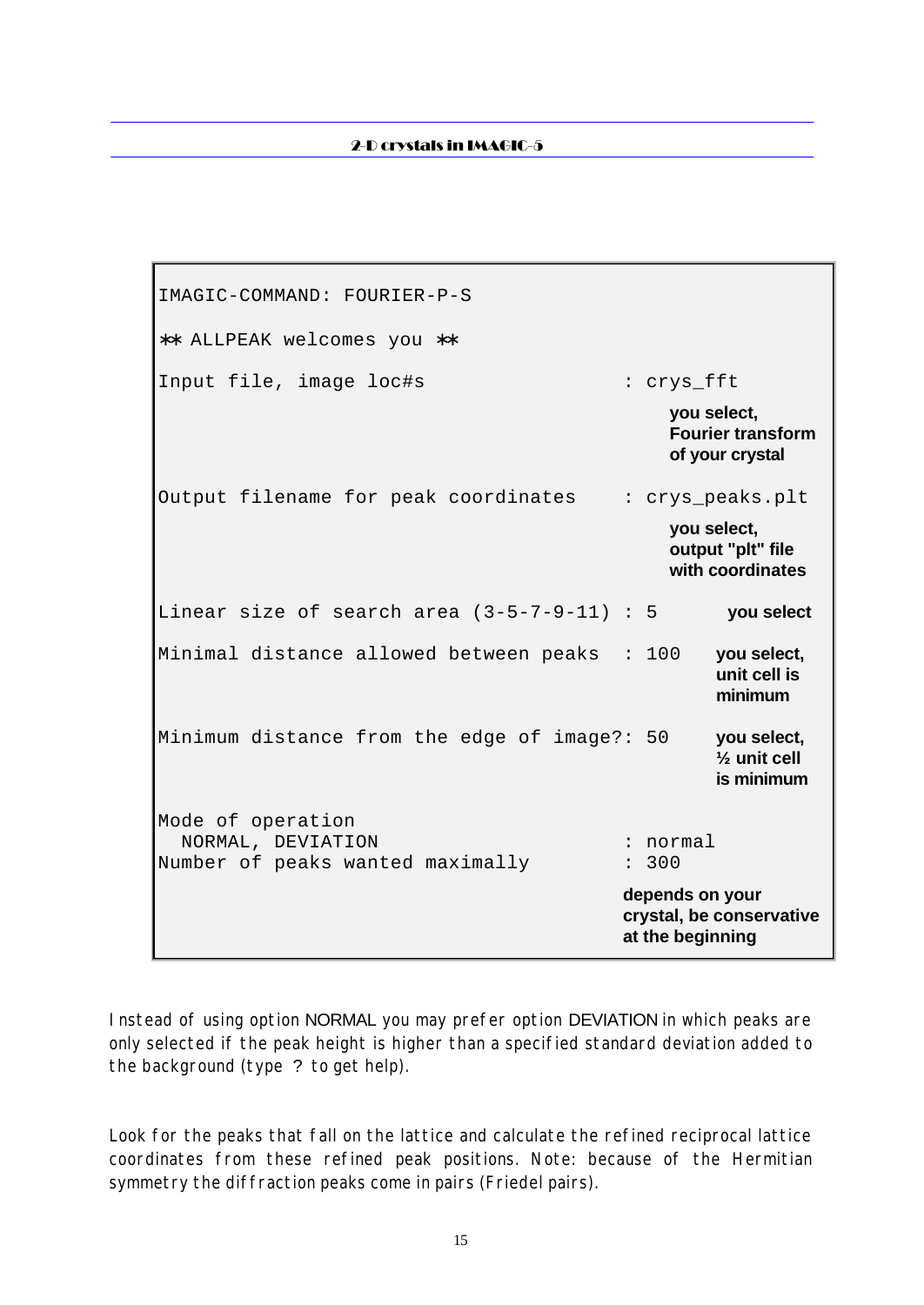IMAGIC-COMMAND: FOURIER-P-S ∗∗ ALLPEAK welcomes you ∗∗ Input file, image loc#s : crys\_fft **you select, Fourier transform of your crystal** Output filename for peak coordinates : crys\_peaks.plt **you select, output "plt" file with coordinates** Linear size of search area (3-5-7-9-11) : 5 **you select** Minimal distance allowed between peaks : 100 **you select, unit cell is minimum** Minimum distance from the edge of image?: 50 **you select, ½ unit cell is minimum** Mode of operation NORMAL, DEVIATION : normal Number of peaks wanted maximally : 300 **depends on your crystal, be conservative at the beginning**

Instead of using option NORMAL you may prefer option DEVIATION in which peaks are only selected if the peak height is higher than a specified standard deviation added to the background (type ? to get help).

Look for the peaks that fall on the lattice and calculate the refined reciprocal lattice coordinates from these refined peak positions. Note: because of the Hermitian symmetry the diffraction peaks come in pairs (Friedel pairs).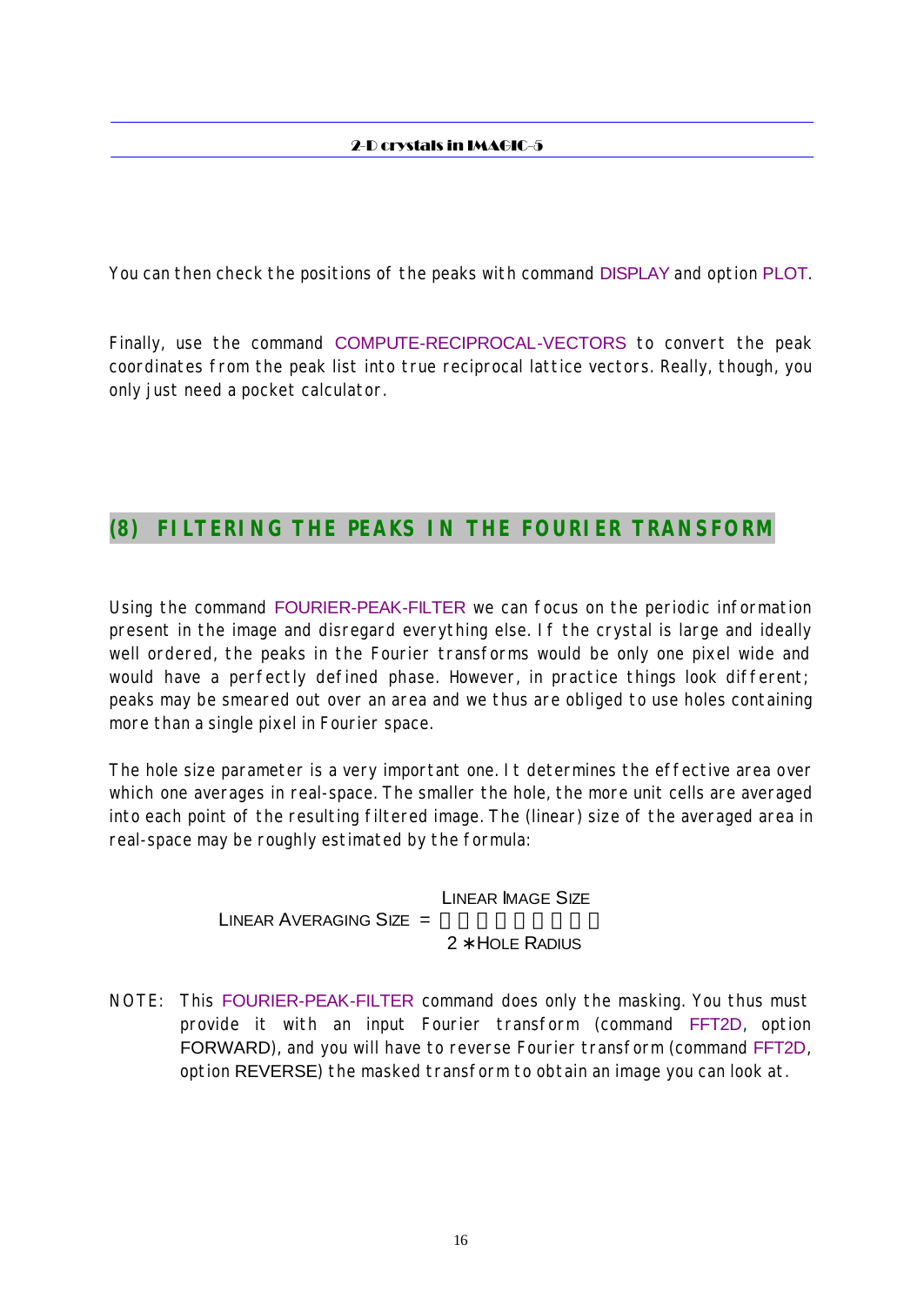You can then check the positions of the peaks with command DISPLAY and option PLOT.

Finally, use the command COMPUTE-RECIPROCAL-VECTORS to convert the peak coordinates from the peak list into true reciprocal lattice vectors. Really, though, you only just need a pocket calculator.

### **(8) FILTERING THE PEAKS IN THE FOURIER TRANSFORM**

Using the command FOURIER-PEAK-FILTER we can focus on the periodic information present in the image and disregard everything else. If the crystal is large and ideally well ordered, the peaks in the Fourier transforms would be only one pixel wide and would have a perfectly defined phase. However, in practice things look different; peaks may be smeared out over an area and we thus are obliged to use holes containing more than a single pixel in Fourier space.

The hole size parameter is a very important one. It determines the effective area over which one averages in real-space. The smaller the hole, the more unit cells are averaged into each point of the resulting filtered image. The (linear) size of the averaged area in real-space may be roughly estimated by the formula:

> LINEAR IMAGE SIZE LINEAR AVERAGING SIZE  $=$   $-$ 2 **∗ HOLE RADIUS**

NOTE: This FOURIER-PEAK-FILTER command does only the masking. You thus must provide it with an input Fourier transform (command FFT2D, option FORWARD), and you will have to reverse Fourier transform (command FFT2D, option REVERSE) the masked transform to obtain an image you can look at.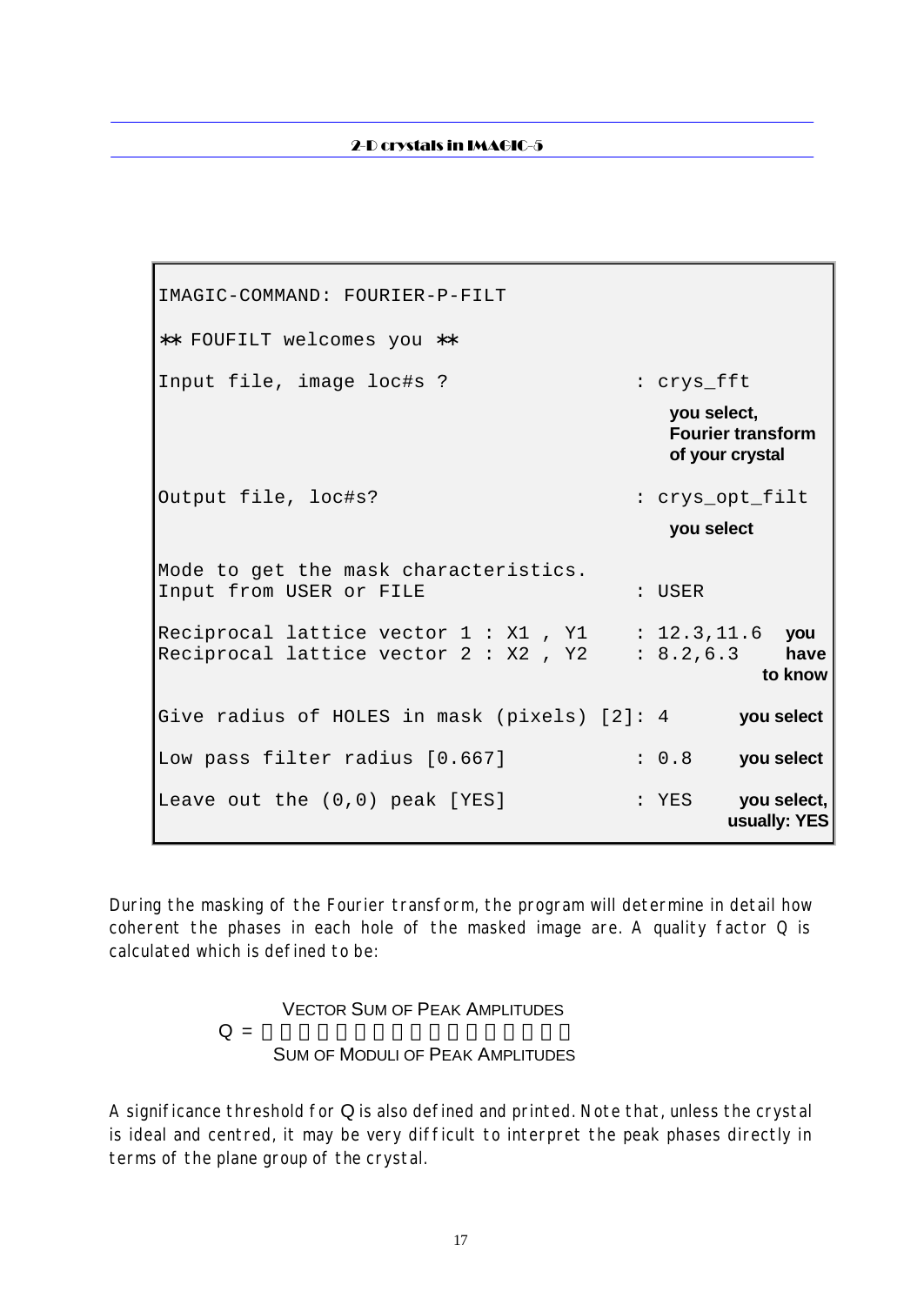IMAGIC-COMMAND: FOURIER-P-FILT ∗∗ FOUFILT welcomes you ∗∗ Input file, image loc#s ? : crys\_fft **you select, Fourier transform of your crystal** Output file, loc#s? : crys\_opt\_filt **you select** Mode to get the mask characteristics. Input from USER or FILE : USER Reciprocal lattice vector 1 : X1 , Y1 : 12.3,11.6 **you** Reciprocal lattice vector 2 : X2 , Y2 : 8.2,6.3 **have to know** the contract of the contract of the contract of the contract of the contract of the contract of the con Give radius of HOLES in mask (pixels) [2]: 4 **you select** Low pass filter radius [0.667] : 0.8 **you select** Leave out the  $(0,0)$  peak [YES] : YES **you select**, **usually: YES**

During the masking of the Fourier transform, the program will determine in detail how coherent the phases in each hole of the masked image are. A quality factor  $Q$  is calculated which is defined to be:

> VECTOR SUM OF PEAK AMPLITUDES  $Q = -$ SUM OF MODULI OF PEAK AMPLITUDES

A significance threshold for Q is also defined and printed. Note that, unless the crystal is ideal and centred, it may be very difficult to interpret the peak phases directly in terms of the plane group of the crystal.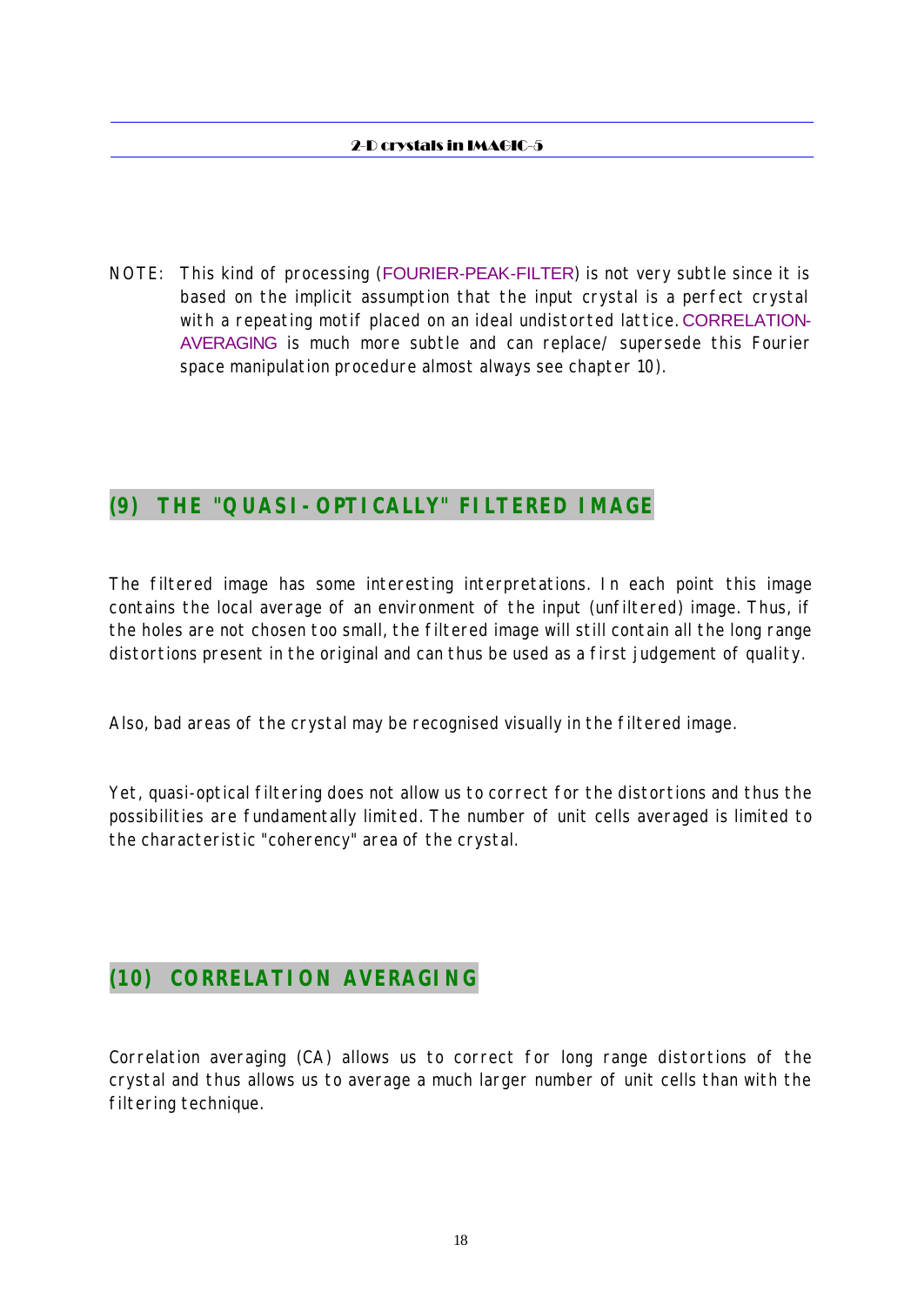NOTE: This kind of processing (FOURIER-PEAK-FILTER) is not very subtle since it is based on the implicit assumption that the input crystal is a perfect crystal with a repeating motif placed on an ideal undistorted lattice. CORRELATION-AVERAGING is much more subtle and can replace/ supersede this Fourier space manipulation procedure almost always see chapter 10).

# **(9) THE "QUASI-OPTICALLY" FILTERED IMAGE**

The filtered image has some interesting interpretations. In each point this image contains the local average of an environment of the input (unfiltered) image. Thus, if the holes are not chosen too small, the filtered image will still contain all the long range distortions present in the original and can thus be used as a first judgement of quality.

Also, bad areas of the crystal may be recognised visually in the filtered image.

Yet, quasi-optical filtering does not allow us to correct for the distortions and thus the possibilities are fundamentally limited. The number of unit cells averaged is limited to the characteristic "coherency" area of the crystal.

# **(10) CORRELATION AVERAGING**

Correlation averaging (CA) allows us to correct for long range distortions of the crystal and thus allows us to average a much larger number of unit cells than with the filtering technique.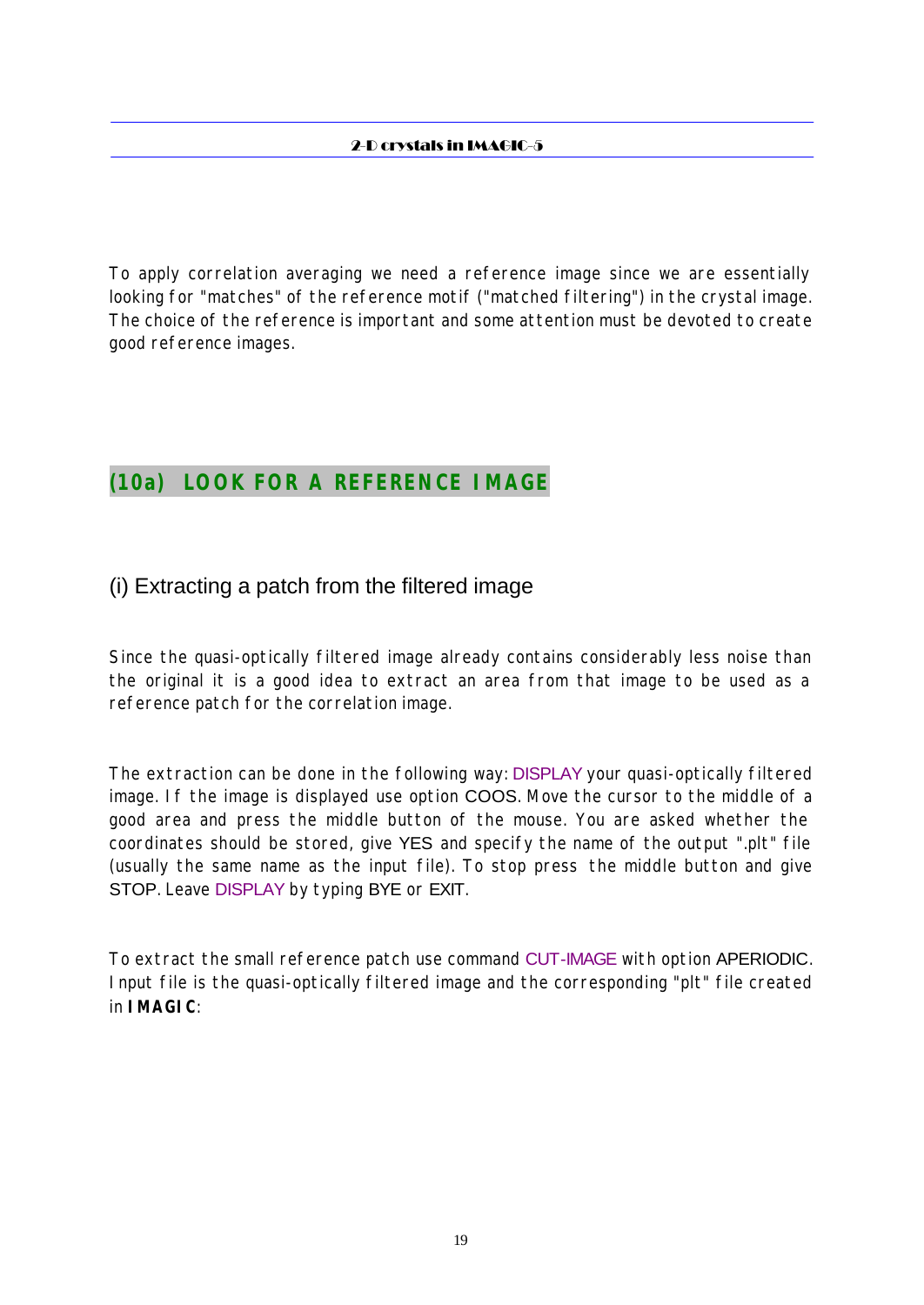To apply correlation averaging we need a reference image since we are essentially looking for "matches" of the reference motif ("matched filtering") in the crystal image. The choice of the reference is important and some attention must be devoted to create good reference images.

# **(10a) LOOK FOR A REFERENCE IMAGE**

### (i) Extracting a patch from the filtered image

Since the quasi-optically filtered image already contains considerably less noise than the original it is a good idea to extract an area from that image to be used as a reference patch for the correlation image.

The extraction can be done in the following way: DISPLAY your quasi-optically filtered image. If the image is displayed use option COOS. Move the cursor to the middle of a good area and press the middle button of the mouse. You are asked whether the coordinates should be stored, give YES and specify the name of the output ".plt" file (usually the same name as the input file). To stop press the middle button and give STOP. Leave DISPLAY by typing BYE or EXIT.

To extract the small reference patch use command CUT-IMAGE with option APERIODIC. Input file is the quasi-optically filtered image and the corresponding "plt" file created in **IMAGIC**: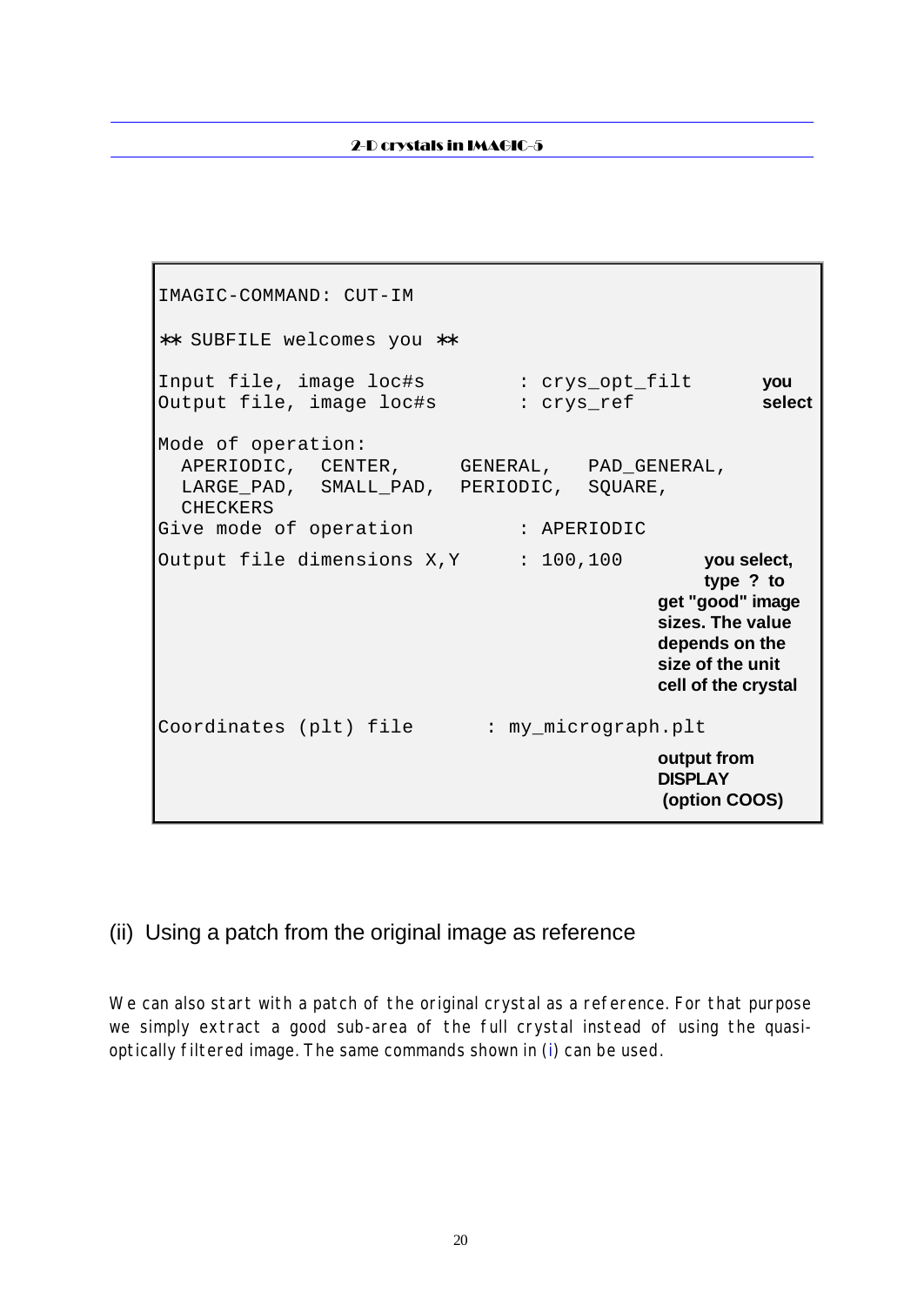IMAGIC-COMMAND: CUT-IM ∗∗ SUBFILE welcomes you ∗∗ Input file, image loc#s : crys\_opt\_filt **you** Output file, image loc#s : crys\_ref **select** Mode of operation: APERIODIC, CENTER, GENERAL, PAD\_GENERAL, LARGE\_PAD, SMALL\_PAD, PERIODIC, SQUARE, CHECKERS Give mode of operation : APERIODIC Output file dimensions X, Y : 100,100 **you select**, **type ? to get "good" image sizes. The value depends on the size of the unit cell of the crystal** Coordinates (plt) file : my\_micrograph.plt **output from DISPLAY (option COOS)**

### (ii) Using a patch from the original image as reference

We can also start with a patch of the original crystal as a reference. For that purpose we simply extract a good sub-area of the full crystal instead of using the quasioptically filtered image. The same commands shown in (i) can be used.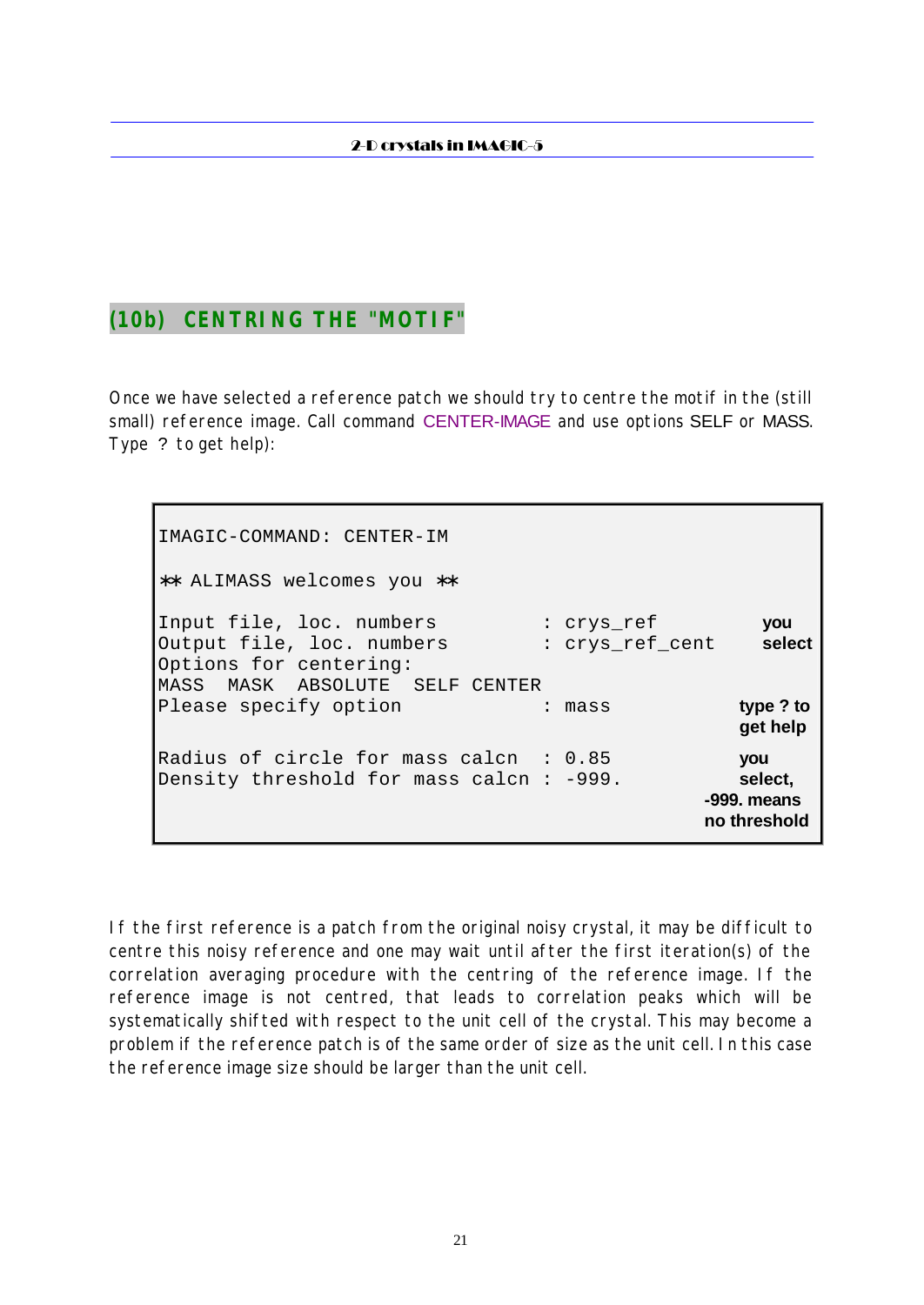# **(10b) CENTRING THE "MOTIF"**

Once we have selected a reference patch we should try to centre the motif in the (still small) reference image. Call command CENTER-IMAGE and use options SELF or MASS. Type ? to get help):

IMAGIC-COMMAND: CENTER-IM ∗∗ ALIMASS welcomes you ∗∗ Input file, loc. numbers : crys\_ref **you** Output file, loc. numbers : crys\_ref\_cent **select** Options for centering: MASS MASK ABSOLUTE SELF CENTER Please specify option : mass **type?to get help** Radius of circle for mass calcn : 0.85 **you** Density threshold for mass calcn : -999. **select, -999. means no threshold**

If the first reference is a patch from the original noisy crystal, it may be difficult to centre this noisy reference and one may wait until after the first iteration(s) of the correlation averaging procedure with the centring of the reference image. If the reference image is not centred, that leads to correlation peaks which will be systematically shifted with respect to the unit cell of the crystal. This may become a problem if the reference patch is of the same order of size as the unit cell. In this case the reference image size should be larger than the unit cell.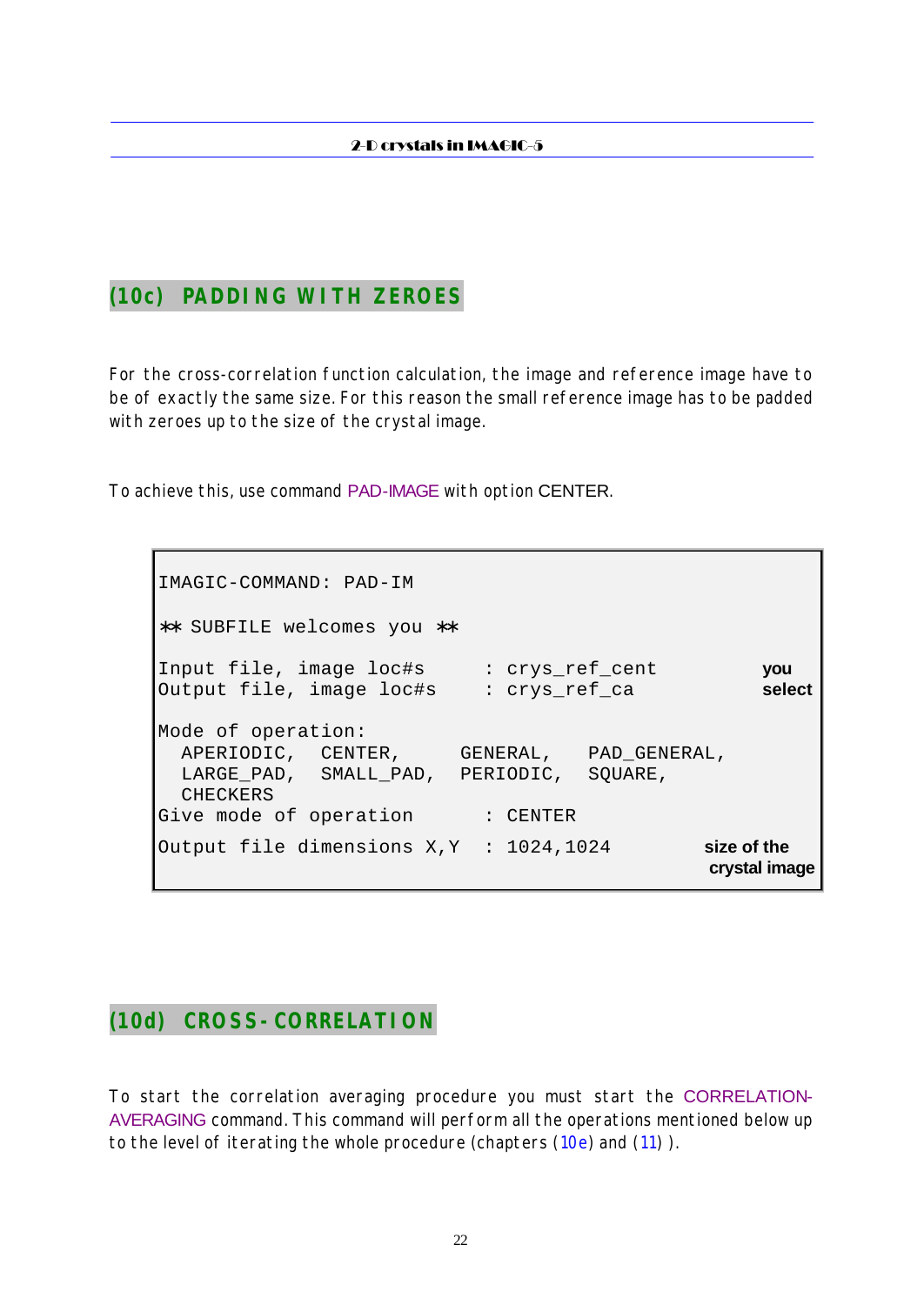# **(10c) PADDING WITH ZEROES**

For the cross-correlation function calculation, the image and reference image have to be of exactly the same size. For this reason the small reference image has to be padded with zeroes up to the size of the crystal image.

To achieve this, use command PAD-IMAGE with option CENTER.

IMAGIC-COMMAND: PAD-IM ∗∗ SUBFILE welcomes you ∗∗ Input file, image loc#s : crys\_ref\_cent **you** Output file, image loc#s : crys\_ref\_ca **select** Mode of operation: APERIODIC, CENTER, GENERAL, PAD\_GENERAL, LARGE\_PAD, SMALL\_PAD, PERIODIC, SQUARE, CHECKERS Give mode of operation : CENTER Output file dimensions X,Y : 1024,1024 **size of the crystal image**

# **(10d) CROSS-CORRELATION**

To start the correlation averaging procedure you must start the CORRELATION-AVERAGING command. This command will perform all the operations mentioned below up to the level of iterating the whole procedure (chapters (10e) and (11) ).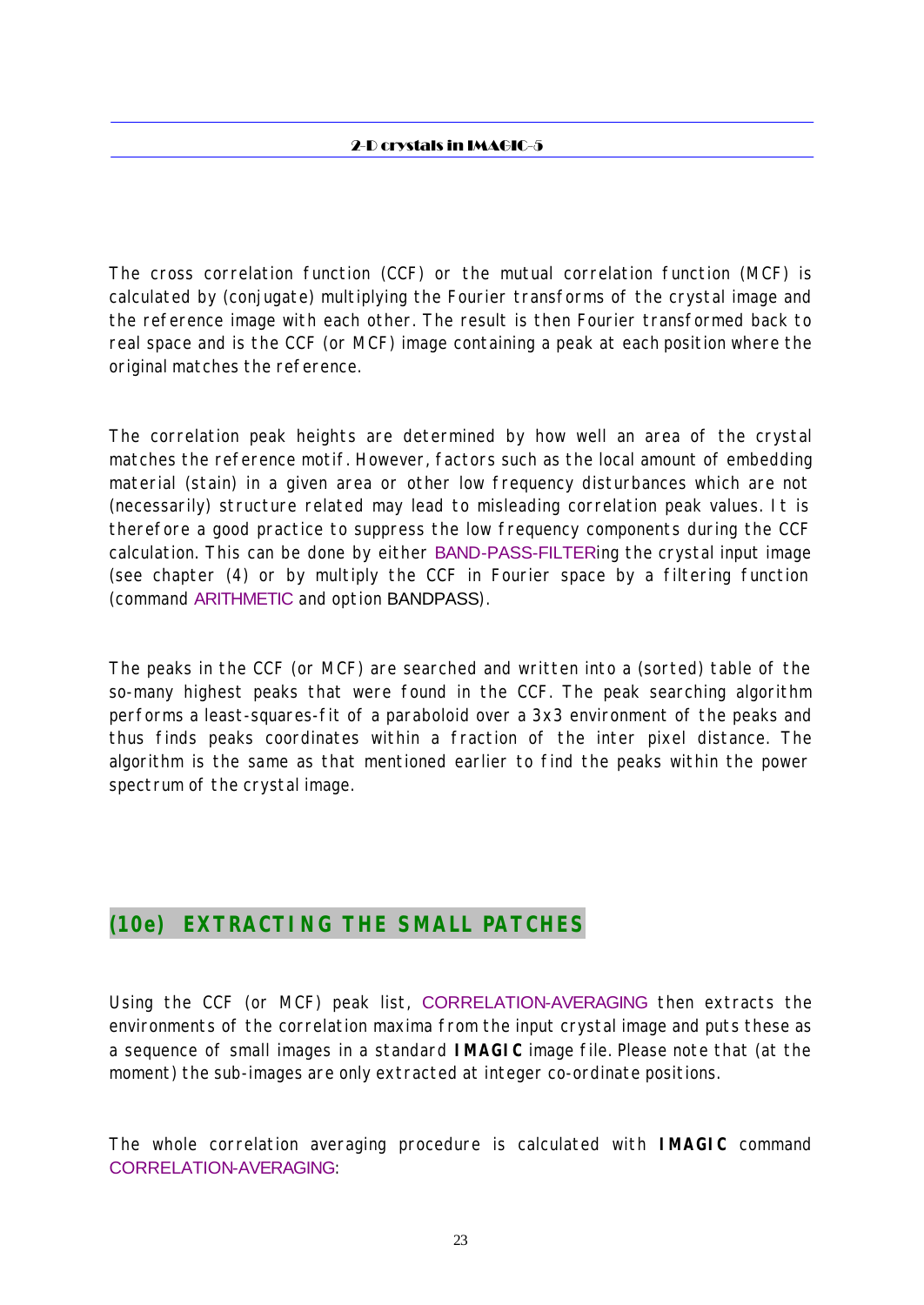The cross correlation function (CCF) or the mutual correlation function (MCF) is calculated by (conjugate) multiplying the Fourier transforms of the crystal image and the reference image with each other. The result is then Fourier transformed back to real space and is the CCF (or MCF) image containing a peak at each position where the original matches the reference.

The correlation peak heights are determined by how well an area of the crystal matches the reference motif. However, factors such as the local amount of embedding material (stain) in a given area or other low frequency disturbances which are not (necessarily) structure related may lead to misleading correlation peak values. It is therefore a good practice to suppress the low frequency components during the CCF calculation. This can be done by either BAND-PASS-FILTERing the crystal input image (see chapter (4) or by multiply the CCF in Fourier space by a filtering function (command ARITHMETIC and option BANDPASS).

The peaks in the CCF (or MCF) are searched and written into a (sorted) table of the so-many highest peaks that were found in the CCF. The peak searching algorithm performs a least-squares-fit of a paraboloid over a 3x3 environment of the peaks and thus finds peaks coordinates within a fraction of the inter pixel distance. The algorithm is the same as that mentioned earlier to find the peaks within the power spectrum of the crystal image.

# **(10e) EXTRACTING THE SMALL PATCHES**

Using the CCF (or MCF) peak list, CORRELATION-AVERAGING then extracts the environments of the correlation maxima from the input crystal image and puts these as a sequence of small images in a standard **IMAGIC** image file. Please note that (at the moment) the sub-images are only extracted at integer co-ordinate positions.

The whole correlation averaging procedure is calculated with **IMAGIC** command CORRELATION-AVERAGING: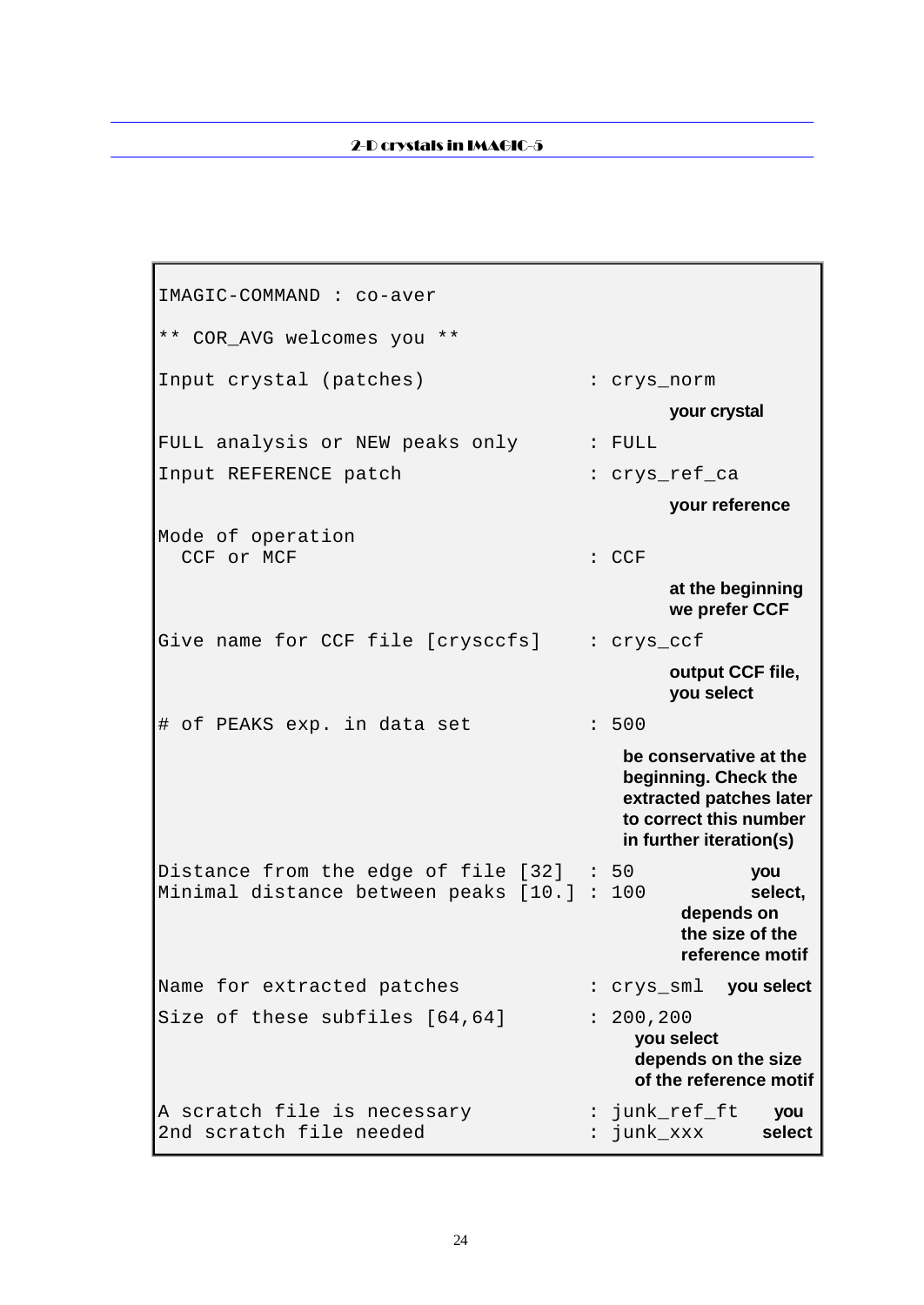IMAGIC-COMMAND : co-aver \*\* COR\_AVG welcomes you \*\* Input crystal (patches) : crys\_norm **your crystal** FULL analysis or NEW peaks only : FULL Input REFERENCE patch : crys\_ref\_ca **your reference** Mode of operation CCF or MCF in the contract of the contract of the contract of the contract of the contract of the contract of the contract of the contract of the contract of the contract of the contract of the contract of the contract of **at the beginning we prefer CCF** Give name for CCF file [crysccfs] : crys\_ccf **output CCF file, you select** # of PEAKS exp. in data set : 500 **be conservative at the beginning. Check the extracted patches later to correct this number in further iteration(s)** Distance from the edge of file [32] : 50 **you** Minimal distance between peaks [10.] : 100 **select, depends on the size of the reference motif** Name for extracted patches : crys\_sml **you select** Size of these subfiles  $[64, 64]$  : 200,200 **you select depends on the size of the reference motif** A scratch file is necessary : junk\_ref\_ft **you** 2nd scratch file needed : junk\_xxx **select**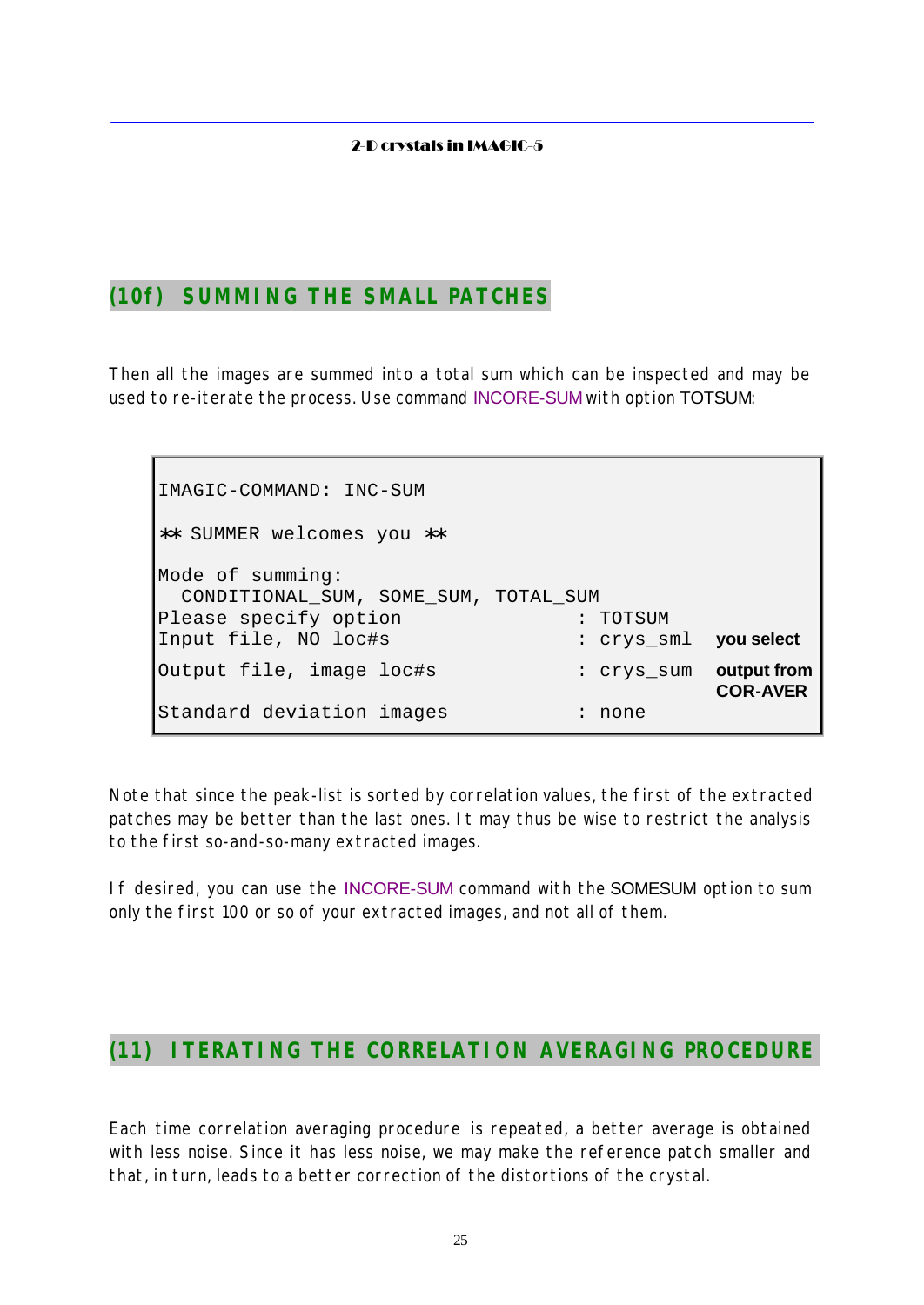### **(10f) SUMMING THE SMALL PATCHES**

Then all the images are summed into a total sum which can be inspected and may be used to re-iterate the process. Use command INCORE-SUM with option TOTSUM:

IMAGIC-COMMAND: INC-SUM ∗∗ SUMMER welcomes you ∗∗ Mode of summing: CONDITIONAL\_SUM, SOME\_SUM, TOTAL\_SUM Please specify option : TOTSUM Input file, NO loc#s : crys\_sml **you select** Output file, image loc#s : crys\_sum **output from COR-AVER** Standard deviation images : none

Note that since the peak-list is sorted by correlation values, the first of the extracted patches may be better than the last ones. It may thus be wise to restrict the analysis to the first so-and-so-many extracted images.

If desired, you can use the INCORE-SUM command with the SOMESUM option to sum only the first 100 or so of your extracted images, and not all of them.

### **(11) ITERATING THE CORRELATION AVERAGING PROCEDURE**

Each time correlation averaging procedure is repeated, a better average is obtained with less noise. Since it has less noise, we may make the reference patch smaller and that, in turn, leads to a better correction of the distortions of the crystal.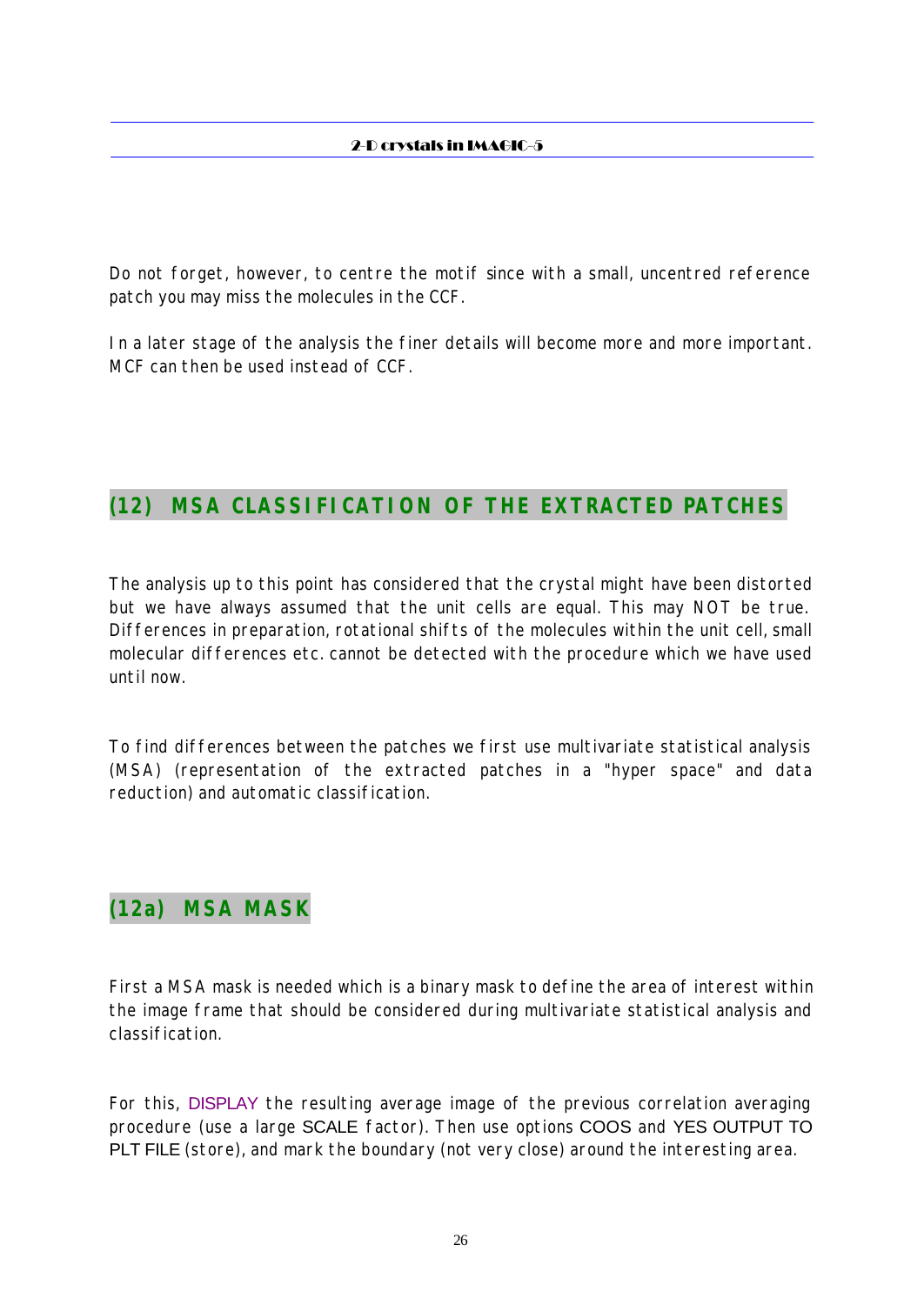Do not forget, however, to centre the motif since with a small, uncentred reference patch you may miss the molecules in the CCF.

In a later stage of the analysis the finer details will become more and more important. MCF can then be used instead of CCF.

# **(12) MSA CLASSIFICATION OF THE EXTRACTED PATCHES**

The analysis up to this point has considered that the crystal might have been distorted but we have always assumed that the unit cells are equal. This may NOT be true. Differences in preparation, rotational shifts of the molecules within the unit cell, small molecular differences etc. cannot be detected with the procedure which we have used until now.

To find differences between the patches we first use multivariate statistical analysis (MSA) (representation of the extracted patches in a "hyper space" and data reduction) and automatic classification.

# **(12a) MSA MASK**

First a MSA mask is needed which is a binary mask to define the area of interest within the image frame that should be considered during multivariate statistical analysis and classification.

For this, DISPLAY the resulting average image of the previous correlation averaging procedure (use a large SCALE factor). Then use options COOS and YES OUTPUT TO PLT FILE (store), and mark the boundary (not very close) around the interesting area.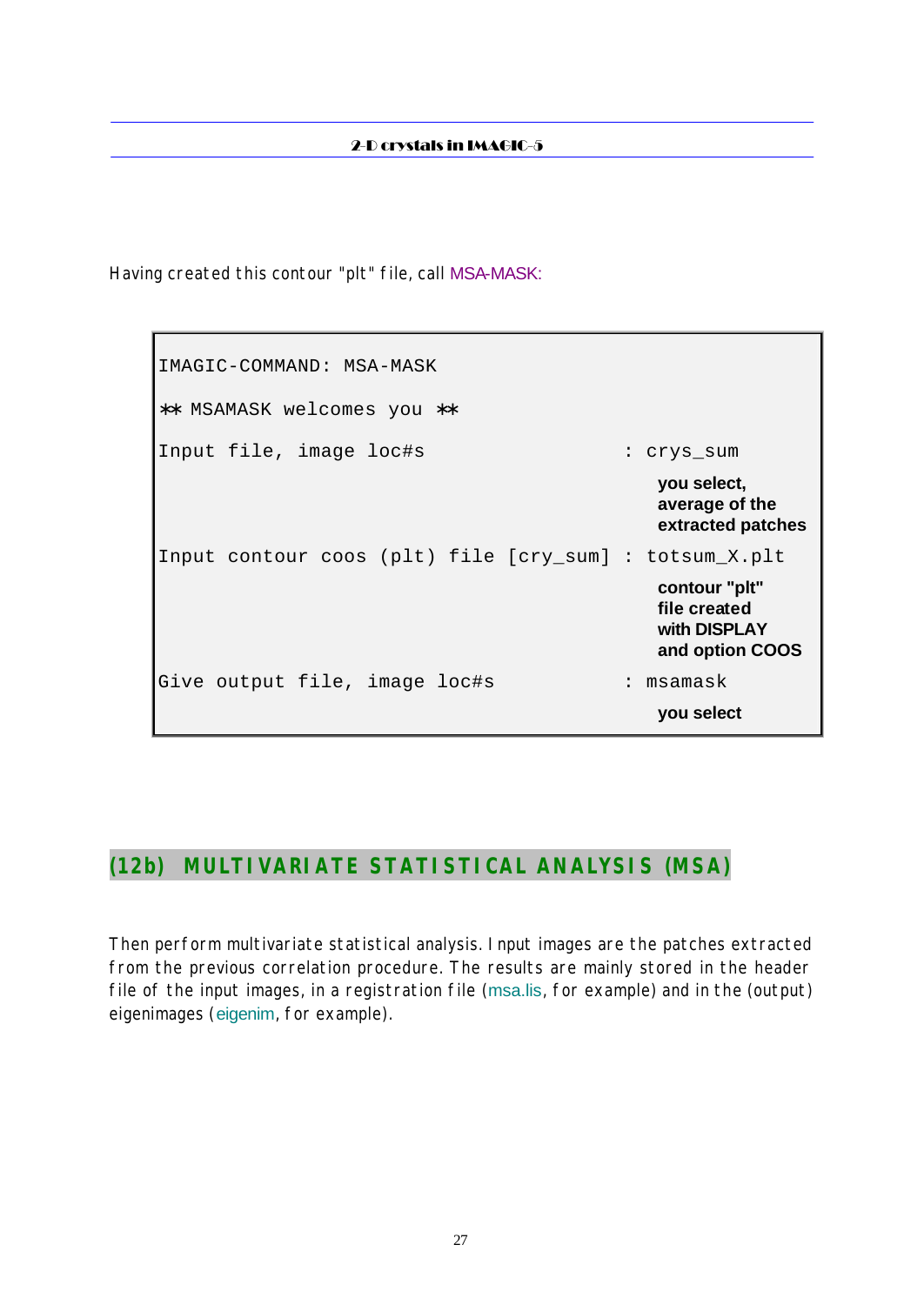Having created this contour "plt" file, call MSA-MASK:

IMAGIC-COMMAND: MSA-MASK ∗∗ MSAMASK welcomes you ∗∗ Input file, image loc#s : crys\_sum **you select, average of the extracted patches** Input contour coos (plt) file [cry\_sum] : totsum\_X.plt **contour "plt" file created with DISPLAY and option COOS** Give output file, image loc#s : msamask **you select**

# **(12b) MULTIVARIATE STATISTICAL ANALYSIS (MSA)**

Then perform multivariate statistical analysis. Input images are the patches extracted from the previous correlation procedure. The results are mainly stored in the header file of the input images, in a registration file (msa.lis, for example) and in the (output) eigenimages (eigenim, for example).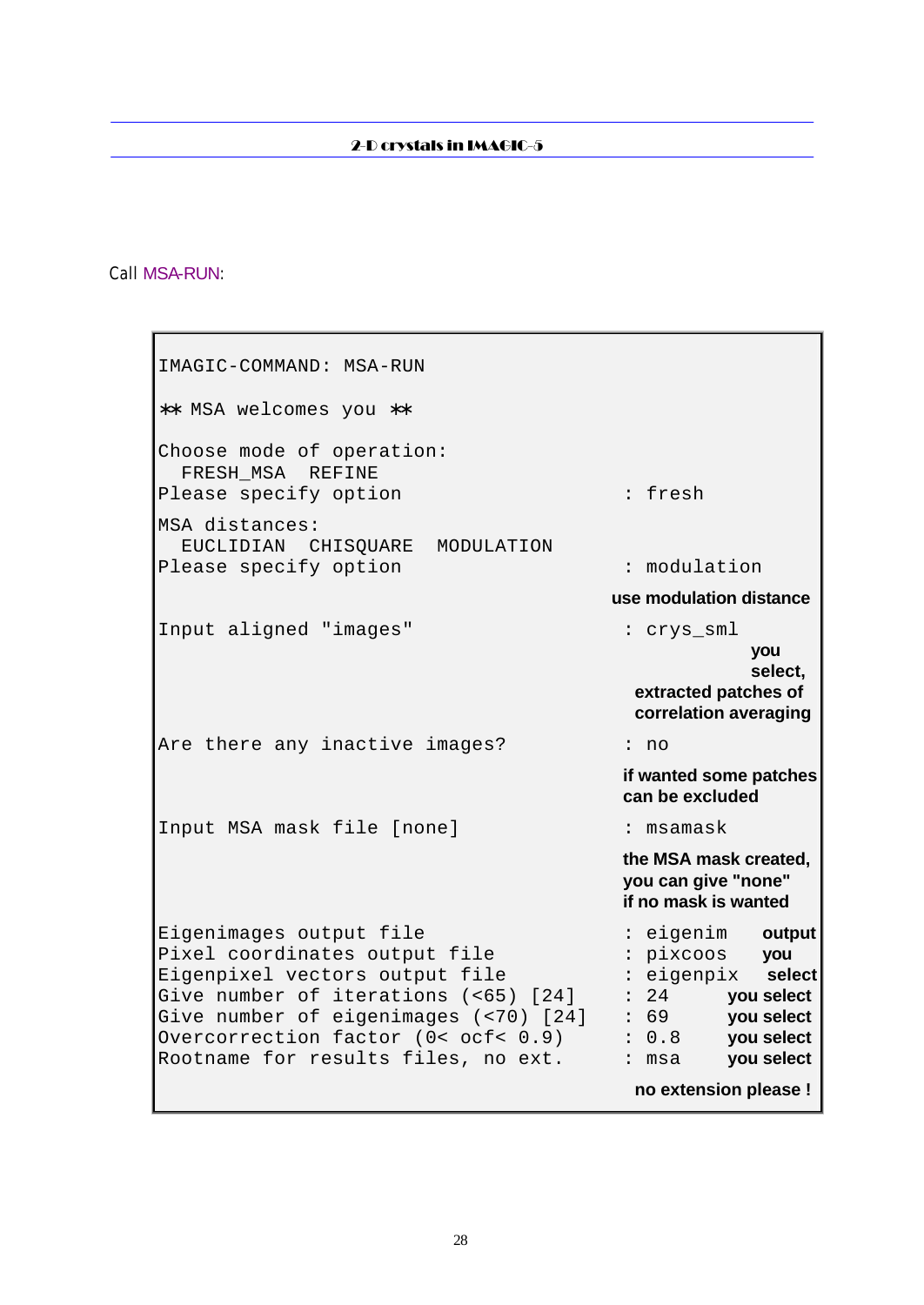### Call MSA-RUN:

| : fresh                                                                                                                                                                                                                  |
|--------------------------------------------------------------------------------------------------------------------------------------------------------------------------------------------------------------------------|
| : modulation                                                                                                                                                                                                             |
| use modulation distance                                                                                                                                                                                                  |
| : crys_sml<br>you<br>select,<br>extracted patches of<br>correlation averaging                                                                                                                                            |
| : no                                                                                                                                                                                                                     |
| if wanted some patches<br>can be excluded                                                                                                                                                                                |
| : msamask                                                                                                                                                                                                                |
| the MSA mask created,<br>you can give "none"<br>if no mask is wanted                                                                                                                                                     |
| : eigenim<br>output<br>: pixcoos<br>you<br>: eigenpix select<br>: 24<br>you select<br>: 69<br>you select<br>Give number of eigenimages (<70) [24]<br>: 0.8<br>you select<br>you select<br>: msa<br>no extension please ! |
|                                                                                                                                                                                                                          |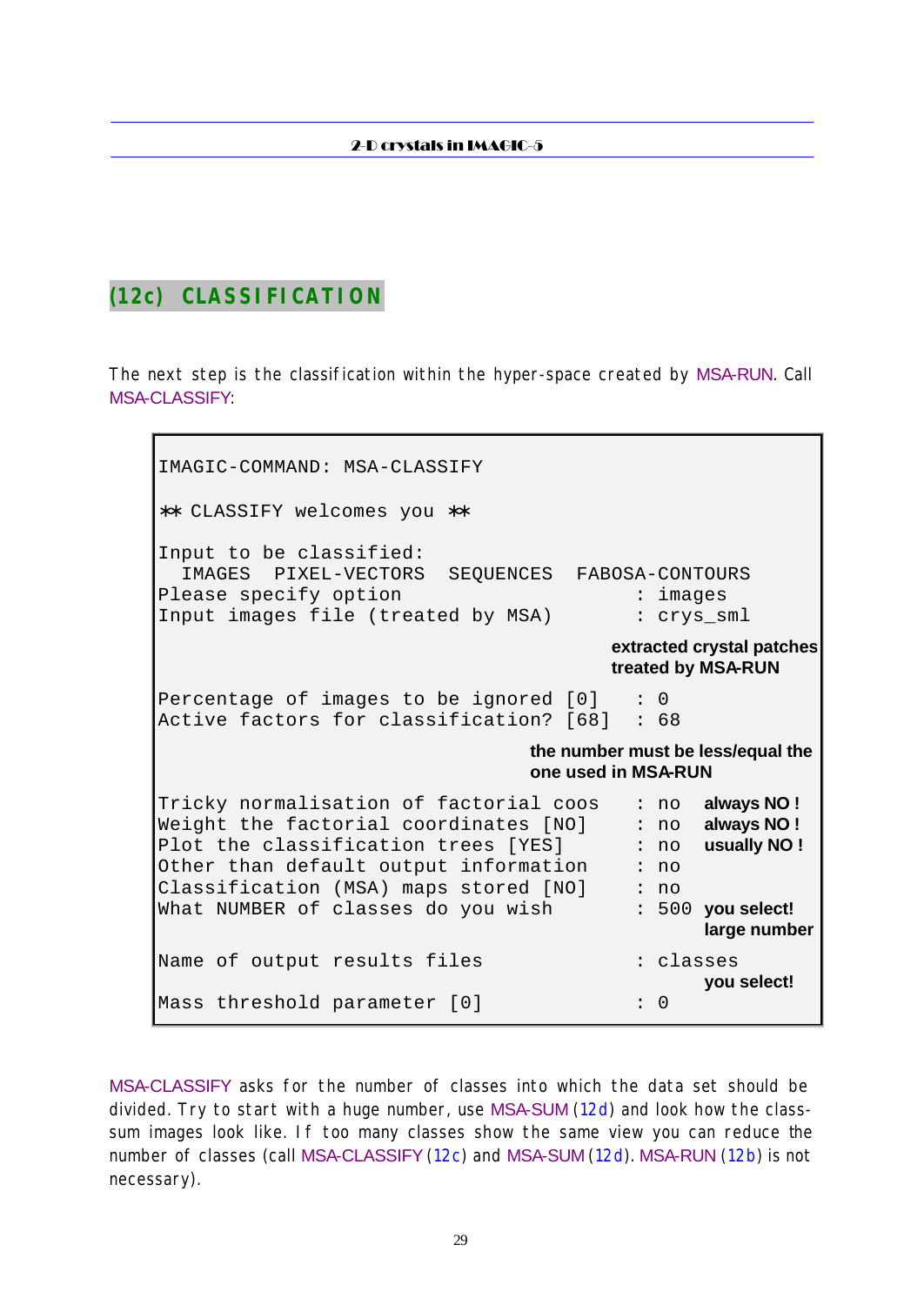### **(12c) CLASSIFICATION**

The next step is the classification within the hyper-space created by MSA-RUN. Call MSA-CLASSIFY:

IMAGIC-COMMAND: MSA-CLASSIFY ∗∗ CLASSIFY welcomes you ∗∗ Input to be classified: IMAGES PIXEL-VECTORS SEQUENCES FABOSA-CONTOURS Please specify option  $\qquad \qquad :$  images Input images file (treated by MSA) : crys\_sml **extracted crystal patches treated by MSA-RUN** Percentage of images to be ignored  $[0]$  : 0 Active factors for classification? [68] : 68 **the number must be less/equal the one used in MSA-RUN** Tricky normalisation of factorial coos : no **always NO !** Weight the factorial coordinates [NO] : no **always NO !** Plot the classification trees [YES] : no **usually NO !** Other than default output information : no Classification (MSA) maps stored [NO] : no What NUMBER of classes do you wish : 500 **you select! large number** Name of output results files : classes **you select!** Mass threshold parameter [0]  $\cdot$  : 0

MSA-CLASSIFY asks for the number of classes into which the data set should be divided. Try to start with a huge number, use MSA-SUM (12d) and look how the classsum images look like. If too many classes show the same view you can reduce the number of classes (call MSA-CLASSIFY (12c) and MSA-SUM (12d). MSA-RUN (12b) is not necessary).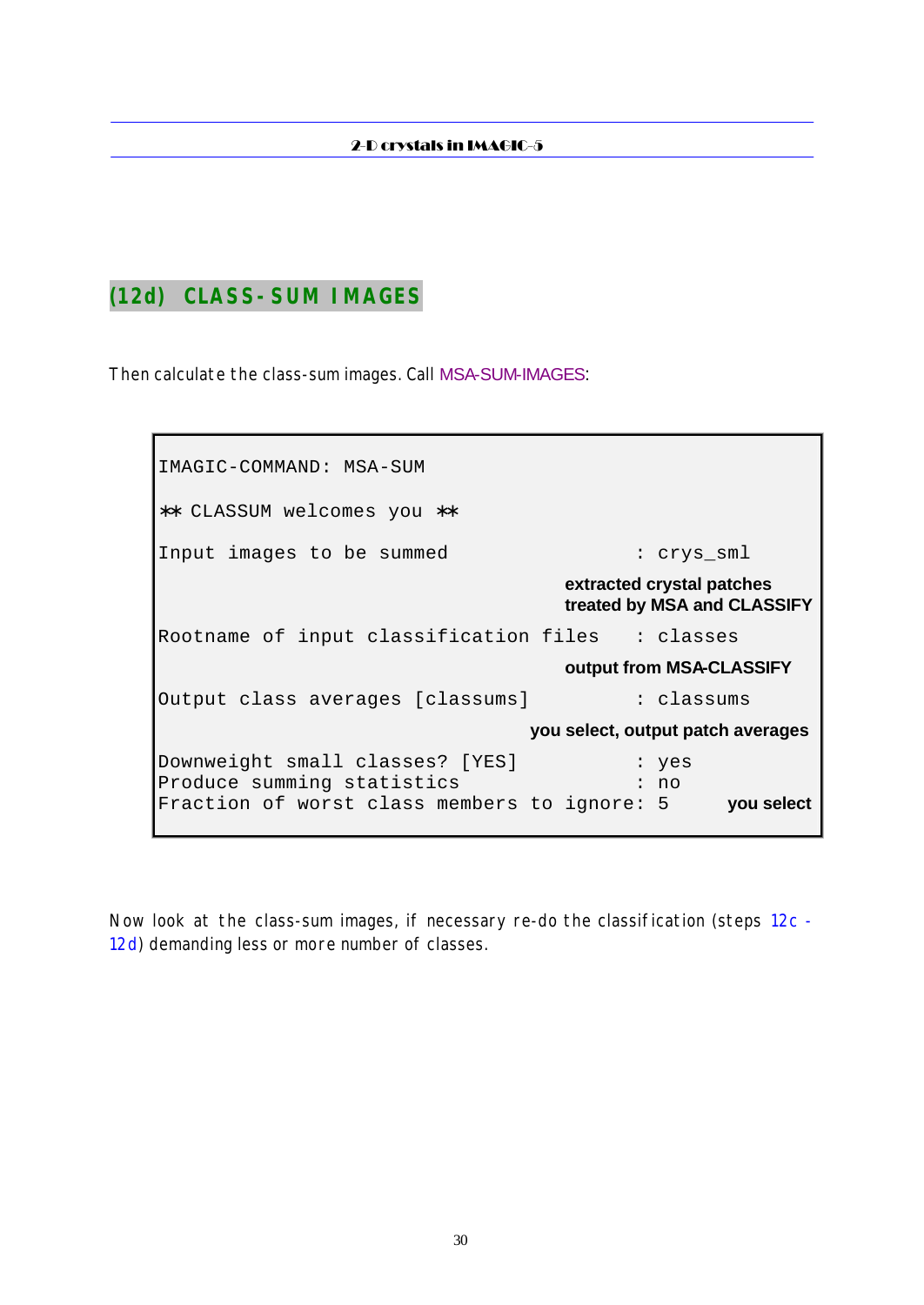### **(12d) CLASS-SUM IMAGES**

Then calculate the class-sum images. Call MSA-SUM-IMAGES:

IMAGIC-COMMAND: MSA-SUM ∗∗ CLASSUM welcomes you ∗∗ Input images to be summed : crys\_sml **extracted crystal patches treated by MSA and CLASSIFY** Rootname of input classification files : classes **output from MSA-CLASSIFY** Output class averages [classums] : classums **you select, output patch averages** Downweight small classes? [YES] : yes Produce summing statistics : : : : no Fraction of worst class members to ignore: 5 **you select**

Now look at the class-sum images, if necessary re-do the classification (steps 12c - 12d) demanding less or more number of classes.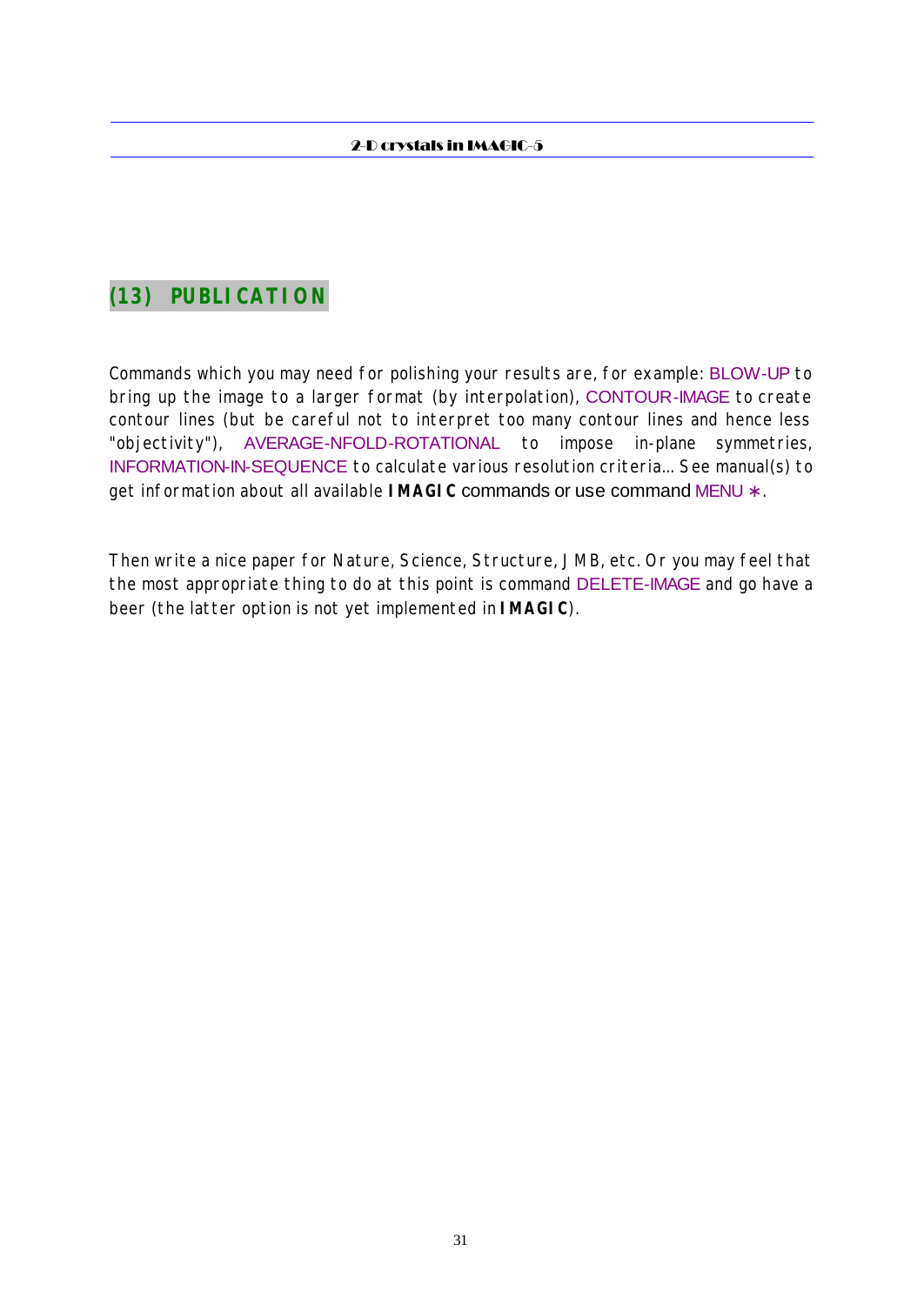# **(13) PUBLICATION**

Commands which you may need for polishing your results are, for example: BLOW-UP to bring up the image to a larger format (by interpolation), CONTOUR-IMAGE to create contour lines (but be careful not to interpret too many contour lines and hence less "objectivity"), AVERAGE-NFOLD-ROTATIONAL to impose in-plane symmetries, INFORMATION-IN-SEQUENCE to calculate various resolution criteria... See manual(s) to get information about all available **IMAGIC** commands or use command MENU ∗ .

Then write a nice paper for Nature, Science, Structure, JMB, etc. Or you may feel that the most appropriate thing to do at this point is command DELETE-IMAGE and go have a beer (the latter option is not yet implemented in **IMAGIC**).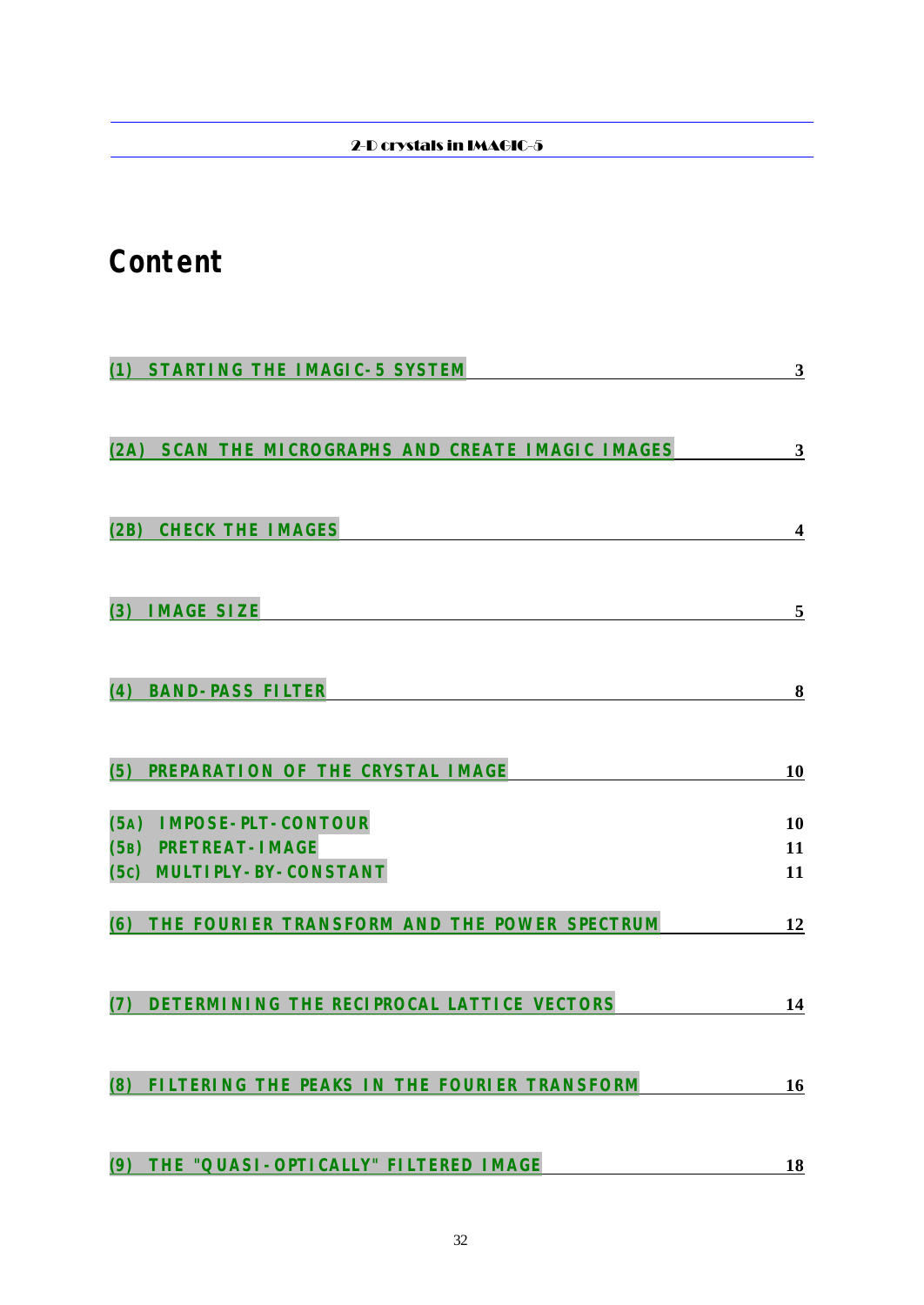# **Content**

| (1) STARTING THE IMAGIC-5 SYSTEM                      | 3  |
|-------------------------------------------------------|----|
|                                                       |    |
| SCAN THE MICROGRAPHS AND CREATE IMAGIC IMAGES<br>(2A) | 3  |
|                                                       |    |
|                                                       |    |
| <b>CHECK THE IMAGES</b><br>(2B)                       | 4  |
|                                                       |    |
| <b>IMAGE SIZE</b><br>(3)                              | 5  |
|                                                       |    |
| <b>BAND-PASS FILTER</b><br>(4)                        | 8  |
|                                                       |    |
| PREPARATION OF THE CRYSTAL IMAGE<br>(5)               | 10 |
| <b>IMPOSE-PLT-CONTOUR</b><br>(5A)                     | 10 |
| (5B) PRETREAT-IMAGE                                   | 11 |
| <b>MULTIPLY-BY-CONSTANT</b><br>(5c)                   | 11 |
| THE FOURIER TRANSFORM AND THE POWER SPECTRUM<br>(6)   | 12 |
|                                                       |    |
| DETERMINING THE RECIPROCAL LATTICE VECTORS            | 14 |
|                                                       |    |
|                                                       |    |
| (8) FILTERING THE PEAKS IN THE FOURIER TRANSFORM      | 16 |
|                                                       |    |
| THE "QUASI-OPTICALLY" FILTERED IMAGE<br>(9)           | 18 |